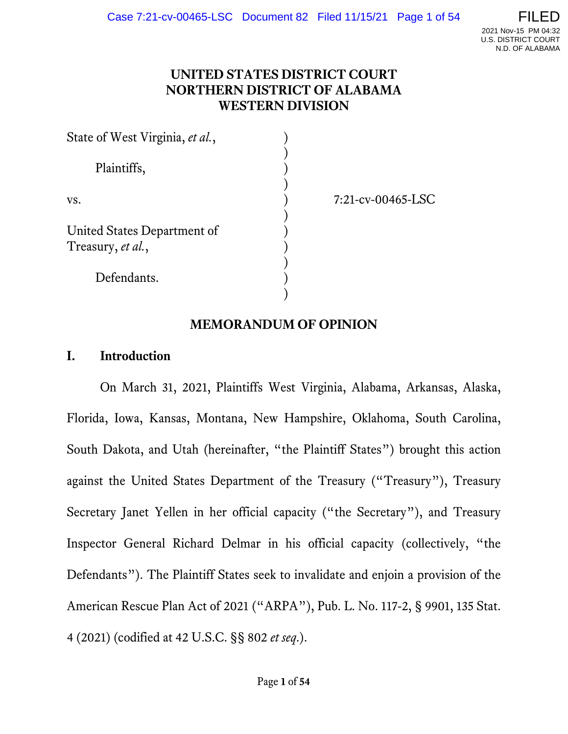### **UNITED STATES DISTRICT COURT NORTHERN DISTRICT OF ALABAMA WESTERN DIVISION**

| State of West Virginia, et al.,                  |                      |  |
|--------------------------------------------------|----------------------|--|
| Plaintiffs,                                      |                      |  |
| VS.                                              | $7:21$ -cv-00465-LSC |  |
| United States Department of<br>Treasury, et al., |                      |  |
| Defendants.                                      |                      |  |

### **MEMORANDUM OF OPINION**

#### **I. Introduction**

On March 31, 2021, Plaintiffs West Virginia, Alabama, Arkansas, Alaska, Florida, Iowa, Kansas, Montana, New Hampshire, Oklahoma, South Carolina, South Dakota, and Utah (hereinafter, "the Plaintiff States") brought this action against the United States Department of the Treasury ("Treasury"), Treasury Secretary Janet Yellen in her official capacity ("the Secretary"), and Treasury Inspector General Richard Delmar in his official capacity (collectively, "the Defendants"). The Plaintiff States seek to invalidate and enjoin a provision of the American Rescue Plan Act of 2021 ("ARPA"), Pub. L. No. 117-2, § 9901, 135 Stat. 4 (2021) (codified at 42 U.S.C. §§ 802 *et seq*.).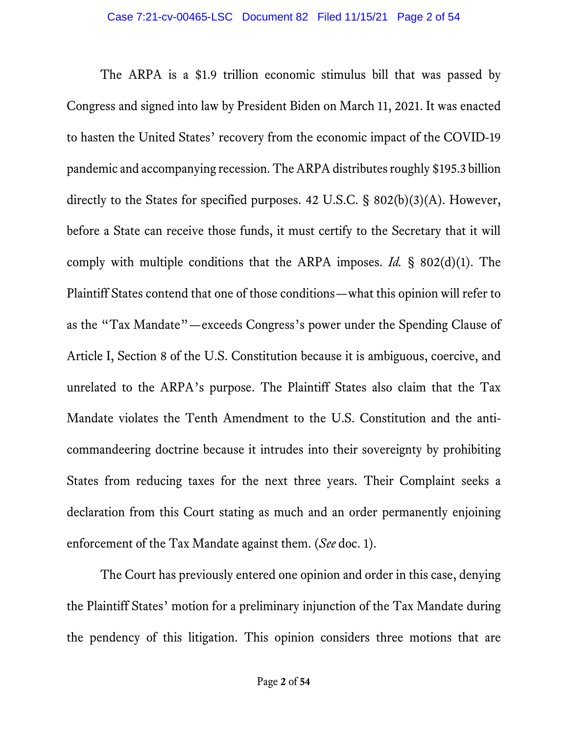The ARPA is a \$1.9 trillion economic stimulus bill that was passed by Congress and signed into law by President Biden on March 11, 2021. It was enacted to hasten the United States' recovery from the economic impact of the COVID-19 pandemic and accompanying recession. The ARPA distributes roughly \$195.3 billion directly to the States for specified purposes. 42 U.S.C. § 802(b)(3)(A). However, before a State can receive those funds, it must certify to the Secretary that it will comply with multiple conditions that the ARPA imposes. *Id.* § 802(d)(1). The Plaintiff States contend that one of those conditions—what this opinion will refer to as the "Tax Mandate"—exceeds Congress's power under the Spending Clause of Article I, Section 8 of the U.S. Constitution because it is ambiguous, coercive, and unrelated to the ARPA's purpose. The Plaintiff States also claim that the Tax Mandate violates the Tenth Amendment to the U.S. Constitution and the anticommandeering doctrine because it intrudes into their sovereignty by prohibiting States from reducing taxes for the next three years. Their Complaint seeks a declaration from this Court stating as much and an order permanently enjoining enforcement of the Tax Mandate against them. (*See* doc. 1).

The Court has previously entered one opinion and order in this case, denying the Plaintiff States' motion for a preliminary injunction of the Tax Mandate during the pendency of this litigation. This opinion considers three motions that are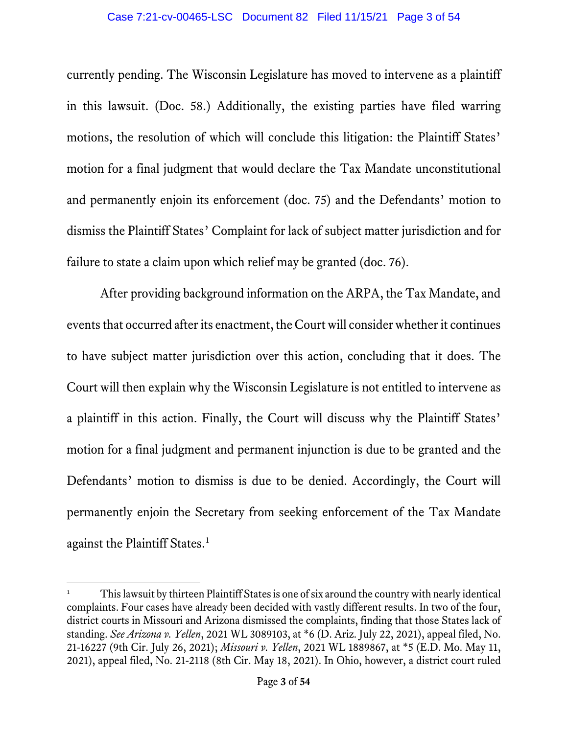currently pending. The Wisconsin Legislature has moved to intervene as a plaintiff in this lawsuit. (Doc. 58.) Additionally, the existing parties have filed warring motions, the resolution of which will conclude this litigation: the Plaintiff States' motion for a final judgment that would declare the Tax Mandate unconstitutional and permanently enjoin its enforcement (doc. 75) and the Defendants' motion to dismiss the Plaintiff States' Complaint for lack of subject matter jurisdiction and for failure to state a claim upon which relief may be granted (doc. 76).

After providing background information on the ARPA, the Tax Mandate, and events that occurred afterits enactment, the Court will consider whether it continues to have subject matter jurisdiction over this action, concluding that it does. The Court will then explain why the Wisconsin Legislature is not entitled to intervene as a plaintiff in this action. Finally, the Court will discuss why the Plaintiff States' motion for a final judgment and permanent injunction is due to be granted and the Defendants' motion to dismiss is due to be denied. Accordingly, the Court will permanently enjoin the Secretary from seeking enforcement of the Tax Mandate against the Plaintiff States.<sup>[1](#page-2-0)</sup>

<span id="page-2-0"></span>This lawsuit by thirteen Plaintiff States is one of six around the country with nearly identical complaints. Four cases have already been decided with vastly different results. In two of the four, district courts in Missouri and Arizona dismissed the complaints, finding that those States lack of standing. *See Arizona v. Yellen*, 2021 WL 3089103, at \*6 (D. Ariz. July 22, 2021), appeal filed, No. 21-16227 (9th Cir. July 26, 2021); *Missouri v. Yellen*, 2021 WL 1889867, at \*5 (E.D. Mo. May 11, 2021), appeal filed, No. 21-2118 (8th Cir. May 18, 2021). In Ohio, however, a district court ruled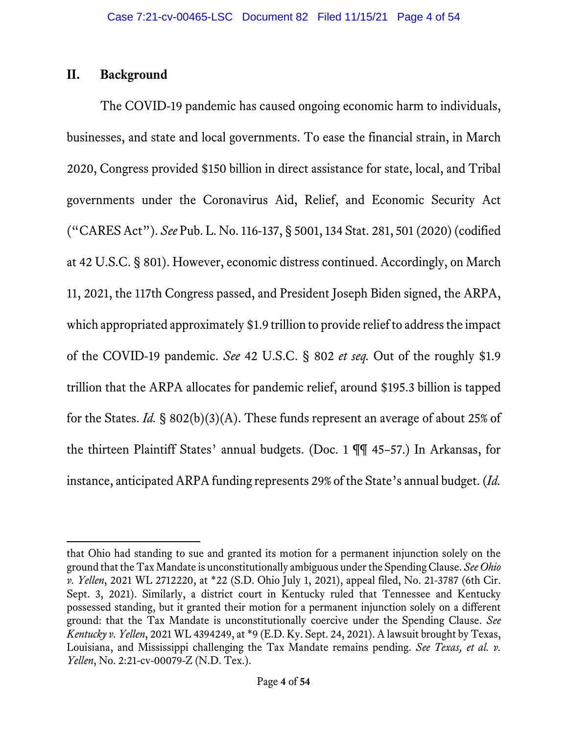## **II. Background**

The COVID-19 pandemic has caused ongoing economic harm to individuals, businesses, and state and local governments. To ease the financial strain, in March 2020, Congress provided \$150 billion in direct assistance for state, local, and Tribal governments under the Coronavirus Aid, Relief, and Economic Security Act ("CARES Act"). *See* Pub. L. No. 116-137, § 5001, 134 Stat. 281, 501 (2020) (codified at 42 U.S.C. § 801). However, economic distress continued. Accordingly, on March 11, 2021, the 117th Congress passed, and President Joseph Biden signed, the ARPA, which appropriated approximately \$1.9 trillion to provide relief to address the impact of the COVID-19 pandemic. *See* 42 U.S.C. § 802 *et seq.* Out of the roughly \$1.9 trillion that the ARPA allocates for pandemic relief, around \$195.3 billion is tapped for the States. *Id.* § 802(b)(3)(A). These funds represent an average of about 25% of the thirteen Plaintiff States' annual budgets. (Doc. 1 ¶¶ 45–57.) In Arkansas, for instance, anticipated ARPA funding represents 29% of the State's annual budget. (*Id.* 

that Ohio had standing to sue and granted its motion for a permanent injunction solely on the ground that the Tax Mandate is unconstitutionally ambiguous under the Spending Clause. *See Ohio v. Yellen*, 2021 WL 2712220, at \*22 (S.D. Ohio July 1, 2021), appeal filed, No. 21-3787 (6th Cir. Sept. 3, 2021). Similarly, a district court in Kentucky ruled that Tennessee and Kentucky possessed standing, but it granted their motion for a permanent injunction solely on a different ground: that the Tax Mandate is unconstitutionally coercive under the Spending Clause. *See Kentucky v. Yellen*, 2021 WL 4394249, at \*9 (E.D. Ky. Sept. 24, 2021). A lawsuit brought by Texas, Louisiana, and Mississippi challenging the Tax Mandate remains pending. *See Texas, et al. v. Yellen*, No. 2:21-cv-00079-Z (N.D. Tex.).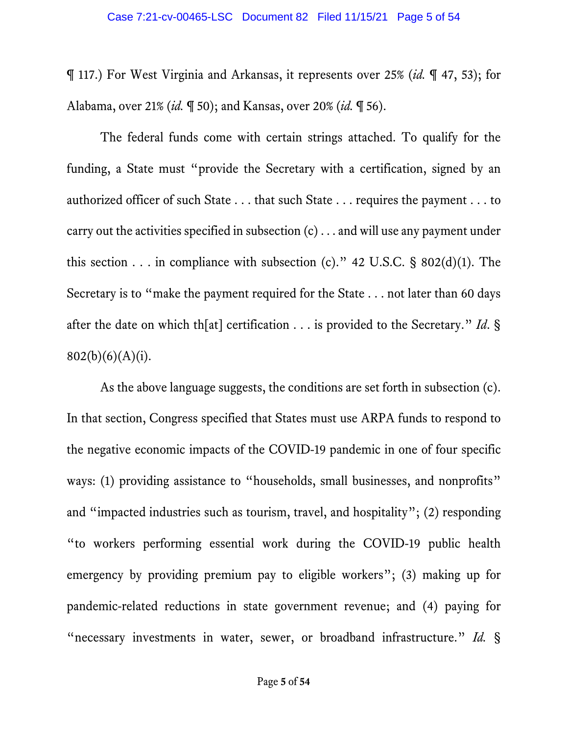¶ 117.) For West Virginia and Arkansas, it represents over 25% (*id.* ¶ 47, 53); for Alabama, over 21% (*id.* ¶ 50); and Kansas, over 20% (*id.* ¶ 56).

The federal funds come with certain strings attached. To qualify for the funding, a State must "provide the Secretary with a certification, signed by an authorized officer of such State . . . that such State . . . requires the payment . . . to carry out the activities specified in subsection (c) . . . and will use any payment under this section . . . in compliance with subsection (c)." 42 U.S.C. § 802(d)(1). The Secretary is to "make the payment required for the State . . . not later than 60 days after the date on which th[at] certification . . . is provided to the Secretary." *Id*. §  $802(b)(6)(A)(i)$ .

As the above language suggests, the conditions are set forth in subsection (c). In that section, Congress specified that States must use ARPA funds to respond to the negative economic impacts of the COVID-19 pandemic in one of four specific ways: (1) providing assistance to "households, small businesses, and nonprofits" and "impacted industries such as tourism, travel, and hospitality"; (2) responding "to workers performing essential work during the COVID-19 public health emergency by providing premium pay to eligible workers"; (3) making up for pandemic-related reductions in state government revenue; and (4) paying for "necessary investments in water, sewer, or broadband infrastructure." *Id.* §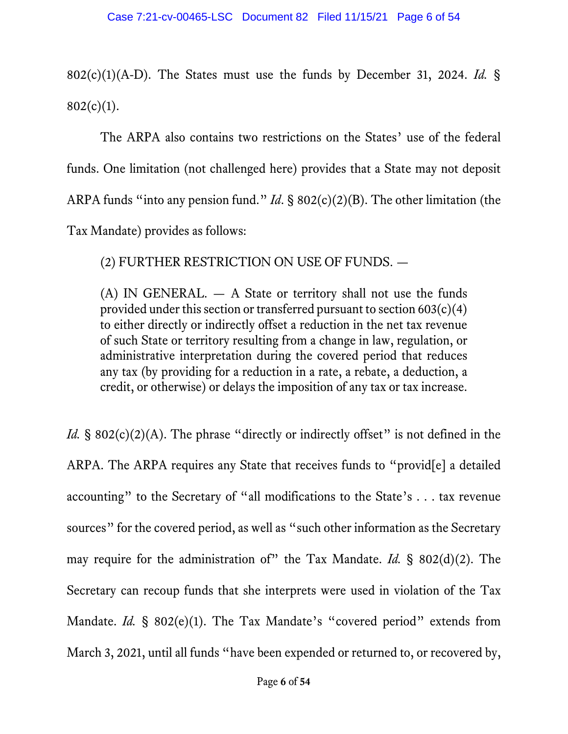802(c)(1)(A-D). The States must use the funds by December 31, 2024. *Id.* §  $802(c)(1)$ .

The ARPA also contains two restrictions on the States' use of the federal funds. One limitation (not challenged here) provides that a State may not deposit ARPA funds "into any pension fund." *Id*. § 802(c)(2)(B). The other limitation (the Tax Mandate) provides as follows:

(2) FURTHER RESTRICTION ON USE OF FUNDS. —

(A) IN GENERAL. — A State or territory shall not use the funds provided under this section or transferred pursuant to section  $603(c)(4)$ to either directly or indirectly offset a reduction in the net tax revenue of such State or territory resulting from a change in law, regulation, or administrative interpretation during the covered period that reduces any tax (by providing for a reduction in a rate, a rebate, a deduction, a credit, or otherwise) or delays the imposition of any tax or tax increase.

*Id.* § 802(c)(2)(A). The phrase "directly or indirectly offset" is not defined in the ARPA. The ARPA requires any State that receives funds to "provid[e] a detailed accounting" to the Secretary of "all modifications to the State's . . . tax revenue sources" for the covered period, as well as "such other information as the Secretary may require for the administration of" the Tax Mandate. *Id.* § 802(d)(2). The Secretary can recoup funds that she interprets were used in violation of the Tax Mandate. *Id.* § 802(e)(1). The Tax Mandate's "covered period" extends from March 3, 2021, until all funds "have been expended or returned to, or recovered by,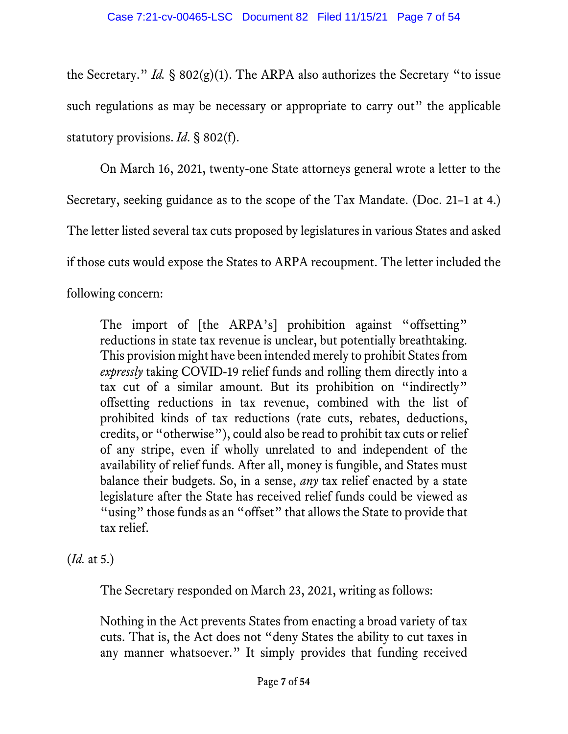the Secretary." *Id.* § 802(g)(1). The ARPA also authorizes the Secretary "to issue such regulations as may be necessary or appropriate to carry out" the applicable statutory provisions. *Id*. § 802(f).

On March 16, 2021, twenty-one State attorneys general wrote a letter to the

Secretary, seeking guidance as to the scope of the Tax Mandate. (Doc. 21–1 at 4.)

The letter listed several tax cuts proposed by legislatures in various States and asked

if those cuts would expose the States to ARPA recoupment. The letter included the

following concern:

The import of [the ARPA's] prohibition against "offsetting" reductions in state tax revenue is unclear, but potentially breathtaking. This provision might have been intended merely to prohibit States from *expressly* taking COVID-19 relief funds and rolling them directly into a tax cut of a similar amount. But its prohibition on "indirectly" offsetting reductions in tax revenue, combined with the list of prohibited kinds of tax reductions (rate cuts, rebates, deductions, credits, or "otherwise"), could also be read to prohibit tax cuts or relief of any stripe, even if wholly unrelated to and independent of the availability of relief funds. After all, money is fungible, and States must balance their budgets. So, in a sense, *any* tax relief enacted by a state legislature after the State has received relief funds could be viewed as "using" those funds as an "offset" that allows the State to provide that tax relief.

(*Id.* at 5.)

The Secretary responded on March 23, 2021, writing as follows:

Nothing in the Act prevents States from enacting a broad variety of tax cuts. That is, the Act does not "deny States the ability to cut taxes in any manner whatsoever." It simply provides that funding received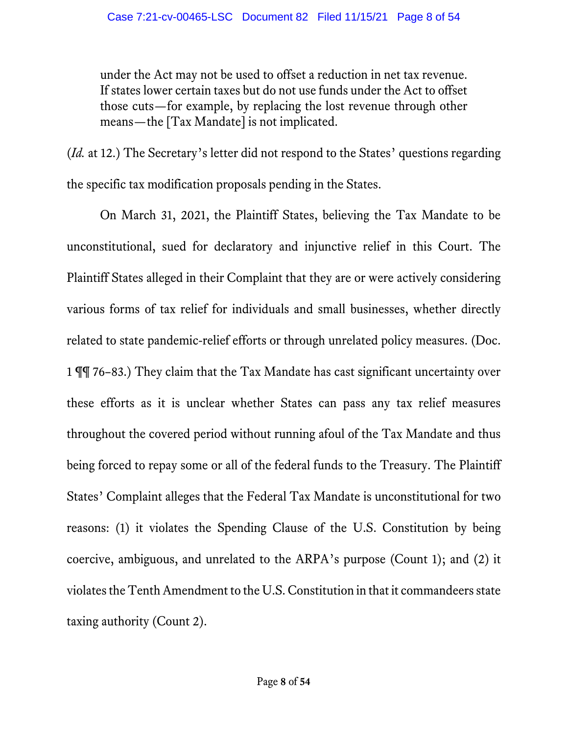under the Act may not be used to offset a reduction in net tax revenue. If states lower certain taxes but do not use funds under the Act to offset those cuts—for example, by replacing the lost revenue through other means—the [Tax Mandate] is not implicated.

(*Id.* at 12.) The Secretary's letter did not respond to the States' questions regarding the specific tax modification proposals pending in the States.

On March 31, 2021, the Plaintiff States, believing the Tax Mandate to be unconstitutional, sued for declaratory and injunctive relief in this Court. The Plaintiff States alleged in their Complaint that they are or were actively considering various forms of tax relief for individuals and small businesses, whether directly related to state pandemic-relief efforts or through unrelated policy measures. (Doc. 1 ¶¶ 76–83.) They claim that the Tax Mandate has cast significant uncertainty over these efforts as it is unclear whether States can pass any tax relief measures throughout the covered period without running afoul of the Tax Mandate and thus being forced to repay some or all of the federal funds to the Treasury. The Plaintiff States' Complaint alleges that the Federal Tax Mandate is unconstitutional for two reasons: (1) it violates the Spending Clause of the U.S. Constitution by being coercive, ambiguous, and unrelated to the ARPA's purpose (Count 1); and (2) it violates the Tenth Amendment to the U.S. Constitution in that it commandeers state taxing authority (Count 2).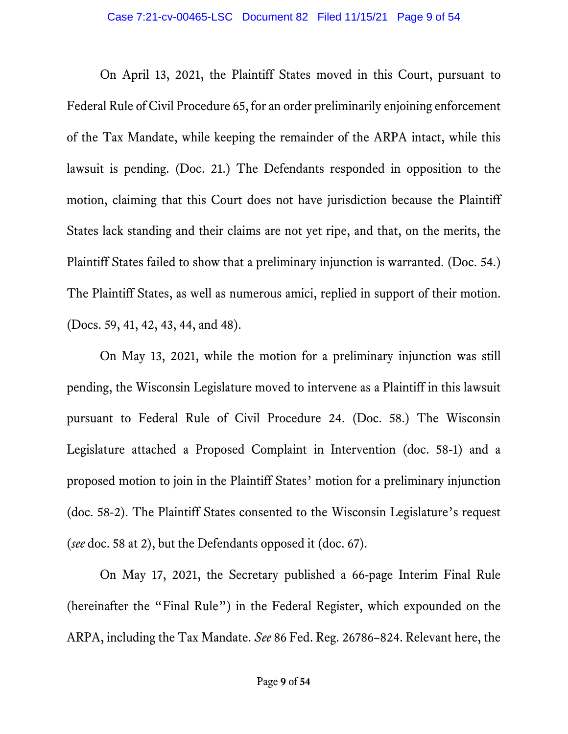On April 13, 2021, the Plaintiff States moved in this Court, pursuant to Federal Rule of Civil Procedure 65, for an order preliminarily enjoining enforcement of the Tax Mandate, while keeping the remainder of the ARPA intact, while this lawsuit is pending. (Doc. 21.) The Defendants responded in opposition to the motion, claiming that this Court does not have jurisdiction because the Plaintiff States lack standing and their claims are not yet ripe, and that, on the merits, the Plaintiff States failed to show that a preliminary injunction is warranted. (Doc. 54.) The Plaintiff States, as well as numerous amici, replied in support of their motion. (Docs. 59, 41, 42, 43, 44, and 48).

On May 13, 2021, while the motion for a preliminary injunction was still pending, the Wisconsin Legislature moved to intervene as a Plaintiff in this lawsuit pursuant to Federal Rule of Civil Procedure 24. (Doc. 58.) The Wisconsin Legislature attached a Proposed Complaint in Intervention (doc. 58-1) and a proposed motion to join in the Plaintiff States' motion for a preliminary injunction (doc. 58-2). The Plaintiff States consented to the Wisconsin Legislature's request (*see* doc. 58 at 2), but the Defendants opposed it (doc. 67).

On May 17, 2021, the Secretary published a 66-page Interim Final Rule (hereinafter the "Final Rule") in the Federal Register, which expounded on the ARPA, including the Tax Mandate. *See* 86 Fed. Reg. 26786–824. Relevant here, the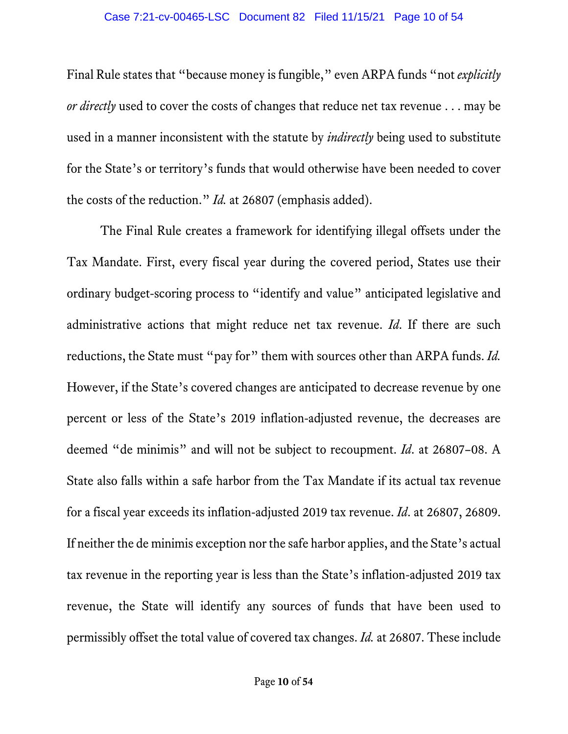Final Rule states that "because money is fungible," even ARPA funds "not *explicitly or directly* used to cover the costs of changes that reduce net tax revenue . . . may be used in a manner inconsistent with the statute by *indirectly* being used to substitute for the State's or territory's funds that would otherwise have been needed to cover the costs of the reduction." *Id.* at 26807 (emphasis added).

The Final Rule creates a framework for identifying illegal offsets under the Tax Mandate. First, every fiscal year during the covered period, States use their ordinary budget-scoring process to "identify and value" anticipated legislative and administrative actions that might reduce net tax revenue. *Id*. If there are such reductions, the State must "pay for" them with sources other than ARPA funds. *Id.*  However, if the State's covered changes are anticipated to decrease revenue by one percent or less of the State's 2019 inflation-adjusted revenue, the decreases are deemed "de minimis" and will not be subject to recoupment. *Id*. at 26807–08. A State also falls within a safe harbor from the Tax Mandate if its actual tax revenue for a fiscal year exceeds its inflation-adjusted 2019 tax revenue. *Id*. at 26807, 26809. If neither the de minimis exception nor the safe harbor applies, and the State's actual tax revenue in the reporting year is less than the State's inflation-adjusted 2019 tax revenue, the State will identify any sources of funds that have been used to permissibly offset the total value of covered tax changes. *Id.* at 26807. These include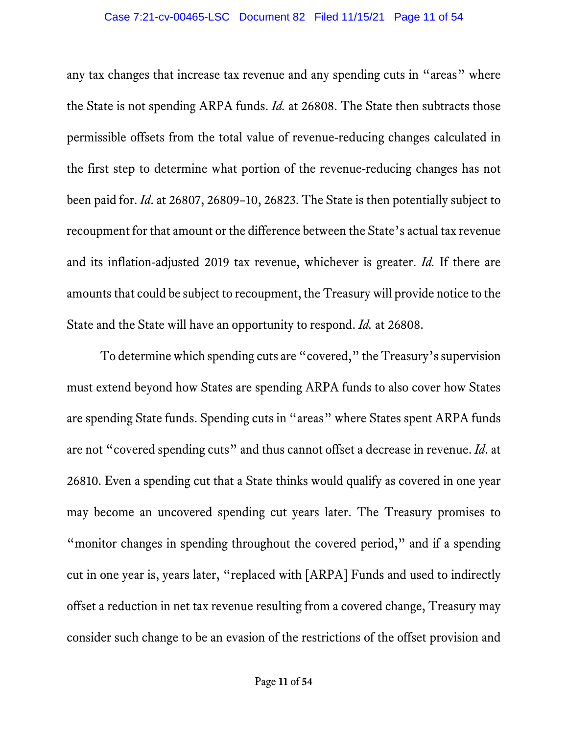any tax changes that increase tax revenue and any spending cuts in "areas" where the State is not spending ARPA funds. *Id.* at 26808. The State then subtracts those permissible offsets from the total value of revenue-reducing changes calculated in the first step to determine what portion of the revenue-reducing changes has not been paid for. *Id*. at 26807, 26809–10, 26823. The State is then potentially subject to recoupment for that amount or the difference between the State's actual tax revenue and its inflation-adjusted 2019 tax revenue, whichever is greater. *Id.* If there are amounts that could be subject to recoupment, the Treasury will provide notice to the State and the State will have an opportunity to respond. *Id.* at 26808.

To determine which spending cuts are "covered," the Treasury's supervision must extend beyond how States are spending ARPA funds to also cover how States are spending State funds. Spending cuts in "areas" where States spent ARPA funds are not "covered spending cuts" and thus cannot offset a decrease in revenue. *Id*. at 26810. Even a spending cut that a State thinks would qualify as covered in one year may become an uncovered spending cut years later. The Treasury promises to "monitor changes in spending throughout the covered period," and if a spending cut in one year is, years later, "replaced with [ARPA] Funds and used to indirectly offset a reduction in net tax revenue resulting from a covered change, Treasury may consider such change to be an evasion of the restrictions of the offset provision and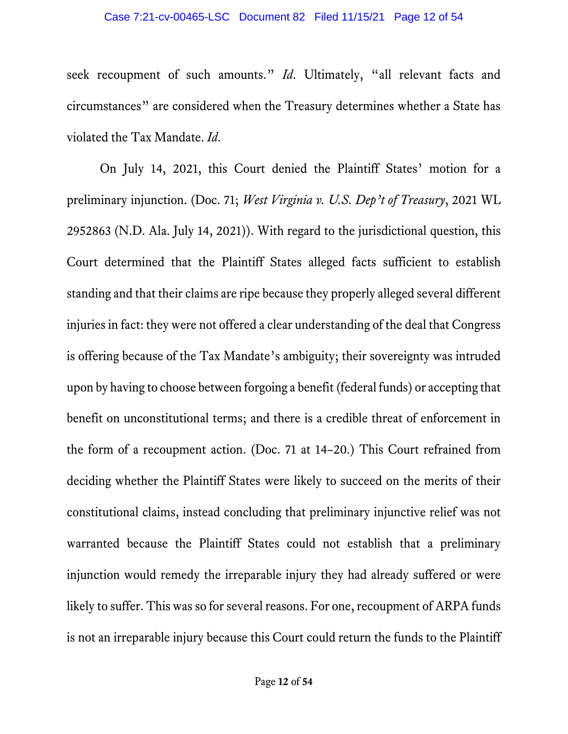seek recoupment of such amounts." *Id*. Ultimately, "all relevant facts and circumstances" are considered when the Treasury determines whether a State has violated the Tax Mandate. *Id*.

On July 14, 2021, this Court denied the Plaintiff States' motion for a preliminary injunction. (Doc. 71; *West Virginia v. U.S. Dep't of Treasury*, 2021 WL 2952863 (N.D. Ala. July 14, 2021)). With regard to the jurisdictional question, this Court determined that the Plaintiff States alleged facts sufficient to establish standing and that their claims are ripe because they properly alleged several different injuries in fact: they were not offered a clear understanding of the deal that Congress is offering because of the Tax Mandate's ambiguity; their sovereignty was intruded upon by having to choose between forgoing a benefit (federal funds) or accepting that benefit on unconstitutional terms; and there is a credible threat of enforcement in the form of a recoupment action. (Doc. 71 at 14–20.) This Court refrained from deciding whether the Plaintiff States were likely to succeed on the merits of their constitutional claims, instead concluding that preliminary injunctive relief was not warranted because the Plaintiff States could not establish that a preliminary injunction would remedy the irreparable injury they had already suffered or were likely to suffer. This was so for several reasons. For one, recoupment of ARPA funds is not an irreparable injury because this Court could return the funds to the Plaintiff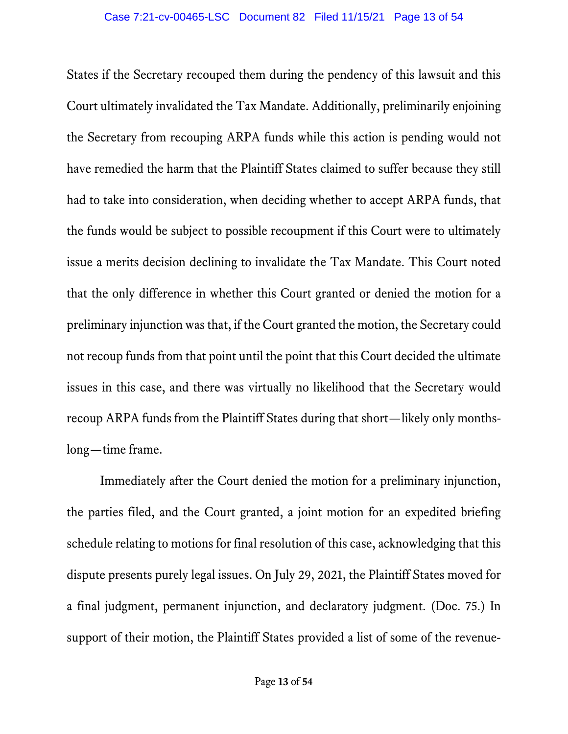States if the Secretary recouped them during the pendency of this lawsuit and this Court ultimately invalidated the Tax Mandate. Additionally, preliminarily enjoining the Secretary from recouping ARPA funds while this action is pending would not have remedied the harm that the Plaintiff States claimed to suffer because they still had to take into consideration, when deciding whether to accept ARPA funds, that the funds would be subject to possible recoupment if this Court were to ultimately issue a merits decision declining to invalidate the Tax Mandate. This Court noted that the only difference in whether this Court granted or denied the motion for a preliminary injunction wasthat, if the Court granted the motion, the Secretary could not recoup funds from that point until the point that this Court decided the ultimate issues in this case, and there was virtually no likelihood that the Secretary would recoup ARPA funds from the Plaintiff States during that short—likely only monthslong—time frame.

Immediately after the Court denied the motion for a preliminary injunction, the parties filed, and the Court granted, a joint motion for an expedited briefing schedule relating to motions for final resolution of this case, acknowledging that this dispute presents purely legal issues. On July 29, 2021, the Plaintiff States moved for a final judgment, permanent injunction, and declaratory judgment. (Doc. 75.) In support of their motion, the Plaintiff States provided a list of some of the revenue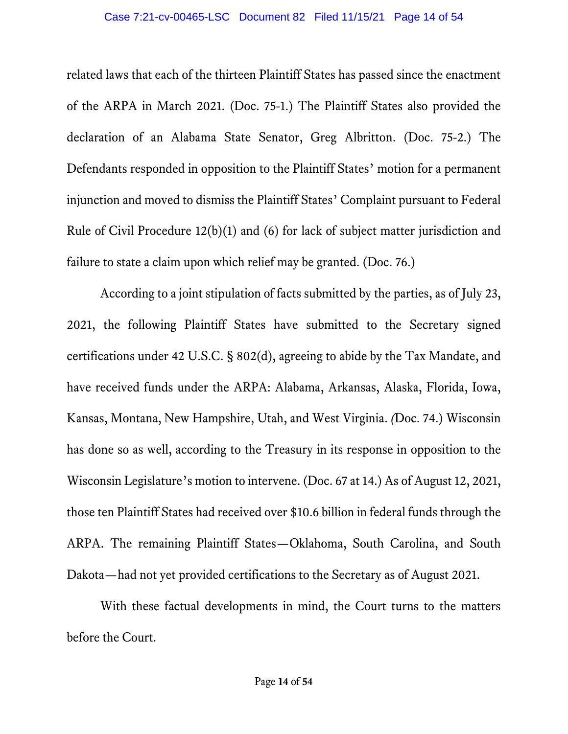related laws that each of the thirteen Plaintiff States has passed since the enactment of the ARPA in March 2021. (Doc. 75-1.) The Plaintiff States also provided the declaration of an Alabama State Senator, Greg Albritton. (Doc. 75-2.) The Defendants responded in opposition to the Plaintiff States' motion for a permanent injunction and moved to dismiss the Plaintiff States' Complaint pursuant to Federal Rule of Civil Procedure 12(b)(1) and (6) for lack of subject matter jurisdiction and failure to state a claim upon which relief may be granted. (Doc. 76.)

According to a joint stipulation of facts submitted by the parties, as of July 23, 2021, the following Plaintiff States have submitted to the Secretary signed certifications under 42 U.S.C. § 802(d), agreeing to abide by the Tax Mandate, and have received funds under the ARPA: Alabama, Arkansas, Alaska, Florida, Iowa, Kansas, Montana, New Hampshire, Utah, and West Virginia. *(*Doc. 74.) Wisconsin has done so as well, according to the Treasury in its response in opposition to the Wisconsin Legislature's motion to intervene. (Doc. 67 at 14.) As of August 12, 2021, those ten Plaintiff States had received over \$10.6 billion in federal funds through the ARPA. The remaining Plaintiff States—Oklahoma, South Carolina, and South Dakota—had not yet provided certifications to the Secretary as of August 2021.

With these factual developments in mind, the Court turns to the matters before the Court.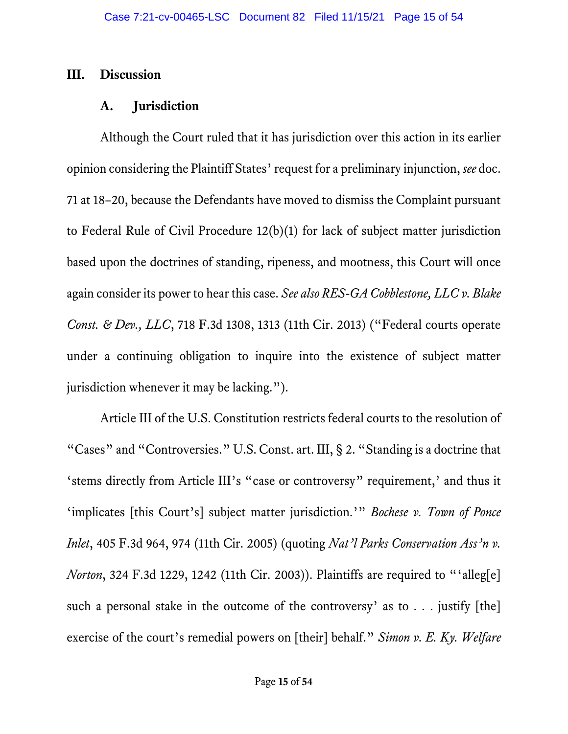### **III. Discussion**

### **A. Jurisdiction**

Although the Court ruled that it has jurisdiction over this action in its earlier opinion considering the Plaintiff States' request for a preliminary injunction, *see* doc. 71 at 18–20, because the Defendants have moved to dismiss the Complaint pursuant to Federal Rule of Civil Procedure 12(b)(1) for lack of subject matter jurisdiction based upon the doctrines of standing, ripeness, and mootness, this Court will once again consider its power to hear this case. *See also RES-GA Cobblestone, LLC v. Blake Const. & Dev., LLC*, 718 F.3d 1308, 1313 (11th Cir. 2013) ("Federal courts operate under a continuing obligation to inquire into the existence of subject matter jurisdiction whenever it may be lacking.").

Article III of the U.S. Constitution restricts federal courts to the resolution of "Cases" and "Controversies." U.S. Const. art. III, § 2. "Standing is a doctrine that 'stems directly from Article III's "case or controversy" requirement,' and thus it 'implicates [this Court's] subject matter jurisdiction.'" *Bochese v. Town of Ponce Inlet*, 405 F.3d 964, 974 (11th Cir. 2005) (quoting *Nat'l Parks Conservation Ass'n v. Norton*, 324 F.3d 1229, 1242 (11th Cir. 2003)). Plaintiffs are required to "'alleg[e] such a personal stake in the outcome of the controversy' as to  $\ldots$  justify [the] exercise of the court's remedial powers on [their] behalf." *Simon v. E. Ky. Welfare*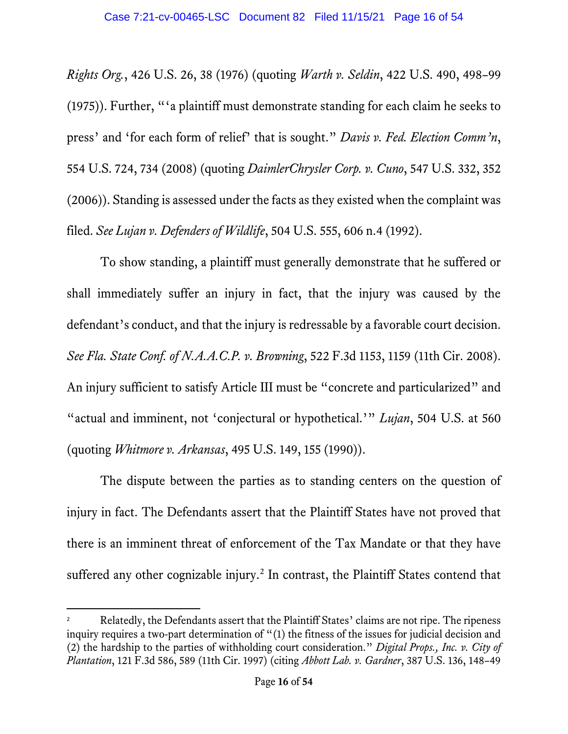*Rights Org.*, 426 U.S. 26, 38 (1976) (quoting *Warth v. Seldin*, 422 U.S. 490, 498–99 (1975)). Further, "'a plaintiff must demonstrate standing for each claim he seeks to press' and 'for each form of relief' that is sought." *Davis v. Fed. Election Comm'n*, 554 U.S. 724, 734 (2008) (quoting *DaimlerChrysler Corp. v. Cuno*, 547 U.S. 332, 352 (2006)). Standing is assessed under the facts as they existed when the complaint was filed. *See Lujan v. Defenders of Wildlife*, 504 U.S. 555, 606 n.4 (1992).

To show standing, a plaintiff must generally demonstrate that he suffered or shall immediately suffer an injury in fact, that the injury was caused by the defendant's conduct, and that the injury is redressable by a favorable court decision. *See Fla. State Conf. of N.A.A.C.P. v. Browning*, 522 F.3d 1153, 1159 (11th Cir. 2008). An injury sufficient to satisfy Article III must be "concrete and particularized" and "actual and imminent, not 'conjectural or hypothetical.'" *Lujan*, 504 U.S. at 560 (quoting *Whitmore v. Arkansas*, 495 U.S. 149, 155 (1990)).

The dispute between the parties as to standing centers on the question of injury in fact. The Defendants assert that the Plaintiff States have not proved that there is an imminent threat of enforcement of the Tax Mandate or that they have suffered any other cognizable injury.<sup>[2](#page-15-0)</sup> In contrast, the Plaintiff States contend that

<span id="page-15-0"></span>Relatedly, the Defendants assert that the Plaintiff States' claims are not ripe. The ripeness inquiry requires a two-part determination of "(1) the fitness of the issues for judicial decision and (2) the hardship to the parties of withholding court consideration." *Digital Props., Inc. v. City of Plantation*, 121 F.3d 586, 589 (11th Cir. 1997) (citing *Abbott Lab. v. Gardner*, 387 U.S. 136, 148–49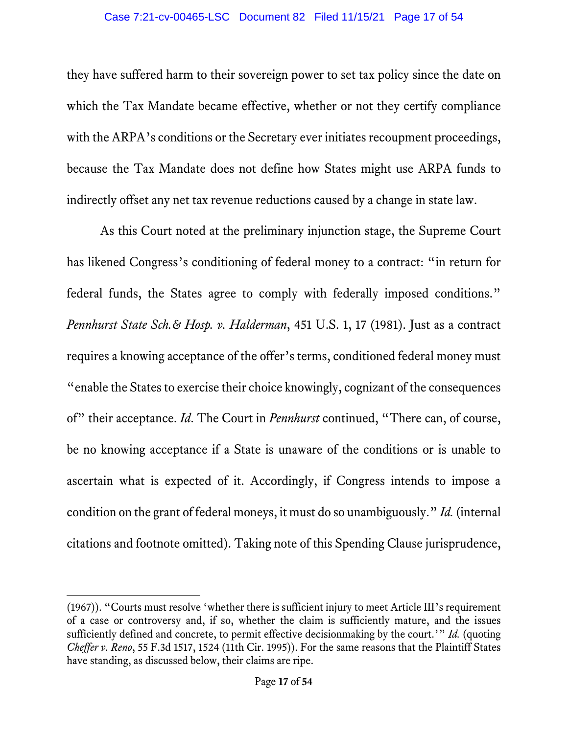they have suffered harm to their sovereign power to set tax policy since the date on which the Tax Mandate became effective, whether or not they certify compliance with the ARPA's conditions or the Secretary ever initiates recoupment proceedings, because the Tax Mandate does not define how States might use ARPA funds to indirectly offset any net tax revenue reductions caused by a change in state law.

As this Court noted at the preliminary injunction stage, the Supreme Court has likened Congress's conditioning of federal money to a contract: "in return for federal funds, the States agree to comply with federally imposed conditions." *Pennhurst State Sch.& Hosp. v. Halderman*, 451 U.S. 1, 17 (1981). Just as a contract requires a knowing acceptance of the offer's terms, conditioned federal money must "enable the States to exercise their choice knowingly, cognizant of the consequences of" their acceptance. *Id*. The Court in *Pennhurst* continued, "There can, of course, be no knowing acceptance if a State is unaware of the conditions or is unable to ascertain what is expected of it. Accordingly, if Congress intends to impose a condition on the grant of federal moneys, it must do so unambiguously." *Id.* (internal citations and footnote omitted). Taking note of this Spending Clause jurisprudence,

<sup>(1967)). &</sup>quot;Courts must resolve 'whether there is sufficient injury to meet Article III's requirement of a case or controversy and, if so, whether the claim is sufficiently mature, and the issues sufficiently defined and concrete, to permit effective decisionmaking by the court.'" *Id.* (quoting *Cheffer v. Reno*, 55 F.3d 1517, 1524 (11th Cir. 1995)). For the same reasons that the Plaintiff States have standing, as discussed below, their claims are ripe.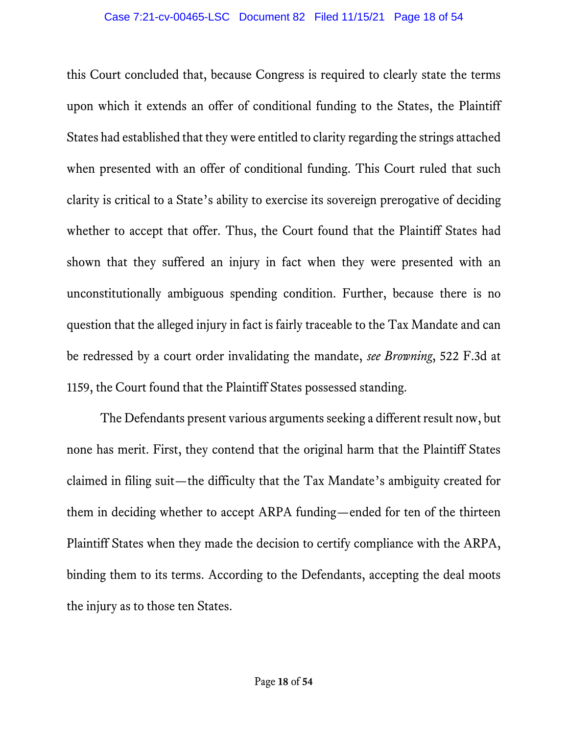this Court concluded that, because Congress is required to clearly state the terms upon which it extends an offer of conditional funding to the States, the Plaintiff States had established that they were entitled to clarity regarding the strings attached when presented with an offer of conditional funding. This Court ruled that such clarity is critical to a State's ability to exercise its sovereign prerogative of deciding whether to accept that offer. Thus, the Court found that the Plaintiff States had shown that they suffered an injury in fact when they were presented with an unconstitutionally ambiguous spending condition. Further, because there is no question that the alleged injury in fact is fairly traceable to the Tax Mandate and can be redressed by a court order invalidating the mandate, *see Browning*, 522 F.3d at 1159, the Court found that the Plaintiff States possessed standing.

The Defendants present various arguments seeking a different result now, but none has merit. First, they contend that the original harm that the Plaintiff States claimed in filing suit—the difficulty that the Tax Mandate's ambiguity created for them in deciding whether to accept ARPA funding—ended for ten of the thirteen Plaintiff States when they made the decision to certify compliance with the ARPA, binding them to its terms. According to the Defendants, accepting the deal moots the injury as to those ten States.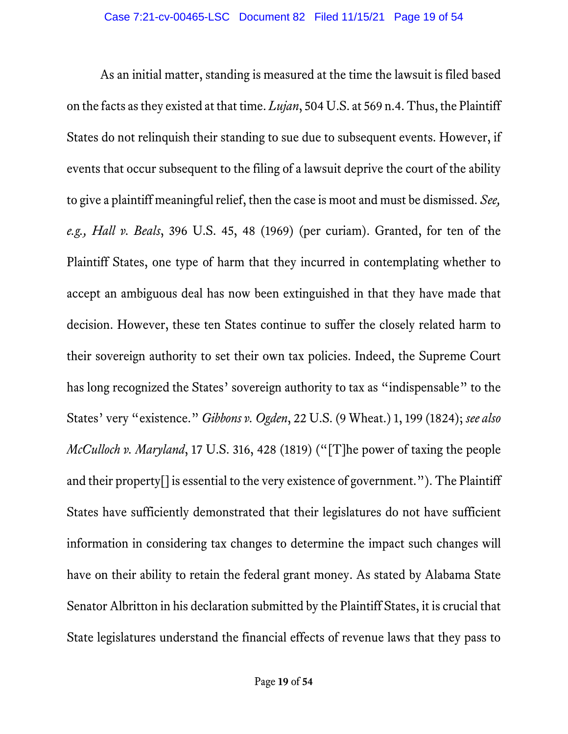As an initial matter, standing is measured at the time the lawsuit is filed based on the facts as they existed at that time. *Lujan*, 504 U.S. at 569 n.4. Thus, the Plaintiff States do not relinquish their standing to sue due to subsequent events. However, if events that occur subsequent to the filing of a lawsuit deprive the court of the ability to give a plaintiff meaningful relief, then the case is moot and must be dismissed. *See, e.g., Hall v. Beals*, 396 U.S. 45, 48 (1969) (per curiam). Granted, for ten of the Plaintiff States, one type of harm that they incurred in contemplating whether to accept an ambiguous deal has now been extinguished in that they have made that decision. However, these ten States continue to suffer the closely related harm to their sovereign authority to set their own tax policies. Indeed, the Supreme Court has long recognized the States' sovereign authority to tax as "indispensable" to the States' very "existence." *Gibbons v. Ogden*, 22 U.S. (9 Wheat.) 1, 199 (1824); *see also McCulloch v. Maryland*, 17 U.S. 316, 428 (1819) ("[T]he power of taxing the people and their property[] is essential to the very existence of government."). The Plaintiff States have sufficiently demonstrated that their legislatures do not have sufficient information in considering tax changes to determine the impact such changes will have on their ability to retain the federal grant money. As stated by Alabama State Senator Albritton in his declaration submitted by the Plaintiff States, it is crucial that State legislatures understand the financial effects of revenue laws that they pass to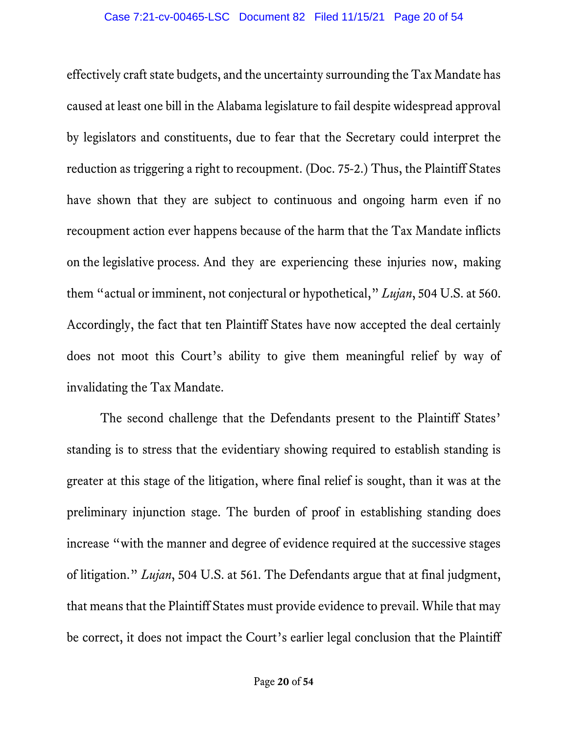effectively craft state budgets, and the uncertainty surrounding the Tax Mandate has caused at least one bill in the Alabama legislature to fail despite widespread approval by legislators and constituents, due to fear that the Secretary could interpret the reduction as triggering a right to recoupment. (Doc. 75-2.) Thus, the Plaintiff States have shown that they are subject to continuous and ongoing harm even if no recoupment action ever happens because of the harm that the Tax Mandate inflicts on the legislative process. And they are experiencing these injuries now, making them "actual or imminent, not conjectural or hypothetical," *Lujan*, 504 U.S. at 560. Accordingly, the fact that ten Plaintiff States have now accepted the deal certainly does not moot this Court's ability to give them meaningful relief by way of invalidating the Tax Mandate.

The second challenge that the Defendants present to the Plaintiff States' standing is to stress that the evidentiary showing required to establish standing is greater at this stage of the litigation, where final relief is sought, than it was at the preliminary injunction stage. The burden of proof in establishing standing does increase "with the manner and degree of evidence required at the successive stages of litigation." *Lujan*, 504 U.S. at 561. The Defendants argue that at final judgment, that means that the Plaintiff States must provide evidence to prevail. While that may be correct, it does not impact the Court's earlier legal conclusion that the Plaintiff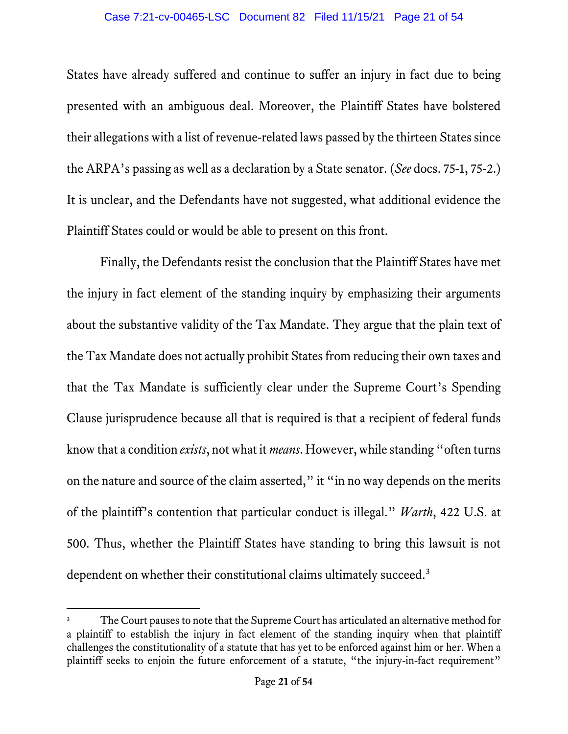States have already suffered and continue to suffer an injury in fact due to being presented with an ambiguous deal. Moreover, the Plaintiff States have bolstered their allegations with a list of revenue-related laws passed by the thirteen States since the ARPA's passing as well as a declaration by a State senator. (*See* docs. 75-1, 75-2.) It is unclear, and the Defendants have not suggested, what additional evidence the Plaintiff States could or would be able to present on this front.

Finally, the Defendants resist the conclusion that the Plaintiff States have met the injury in fact element of the standing inquiry by emphasizing their arguments about the substantive validity of the Tax Mandate. They argue that the plain text of the Tax Mandate does not actually prohibit States from reducing their own taxes and that the Tax Mandate is sufficiently clear under the Supreme Court's Spending Clause jurisprudence because all that is required is that a recipient of federal funds know that a condition *exists*, notwhat it *means*. However, while standing "often turns on the nature and source of the claim asserted," it "in no way depends on the merits of the plaintiff's contention that particular conduct is illegal." *Warth*, 422 U.S. at 500. Thus, whether the Plaintiff States have standing to bring this lawsuit is not dependent on whether their constitutional claims ultimately succeed.<sup>[3](#page-20-0)</sup>

<span id="page-20-0"></span>The Court pauses to note that the Supreme Court has articulated an alternative method for a plaintiff to establish the injury in fact element of the standing inquiry when that plaintiff challenges the constitutionality of a statute that has yet to be enforced against him or her. When a plaintiff seeks to enjoin the future enforcement of a statute, "the injury-in-fact requirement"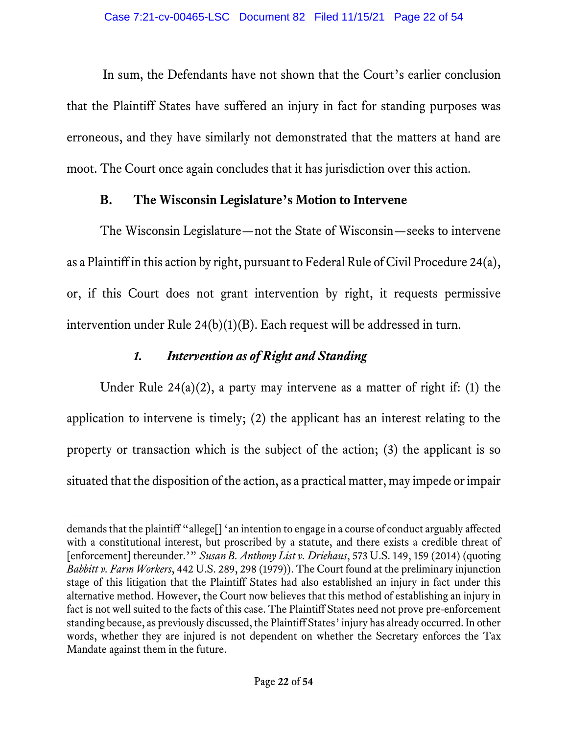In sum, the Defendants have not shown that the Court's earlier conclusion that the Plaintiff States have suffered an injury in fact for standing purposes was erroneous, and they have similarly not demonstrated that the matters at hand are moot. The Court once again concludes that it has jurisdiction over this action.

## **B. The Wisconsin Legislature's Motion to Intervene**

The Wisconsin Legislature—not the State of Wisconsin—seeks to intervene as a Plaintiff in this action by right, pursuant to Federal Rule of Civil Procedure 24(a), or, if this Court does not grant intervention by right, it requests permissive intervention under Rule 24(b)(1)(B). Each request will be addressed in turn.

# *1. Intervention as of Right and Standing*

Under Rule  $24(a)(2)$ , a party may intervene as a matter of right if: (1) the application to intervene is timely; (2) the applicant has an interest relating to the property or transaction which is the subject of the action; (3) the applicant is so situated that the disposition of the action, as a practical matter, may impede or impair

demands that the plaintiff "allege[] 'an intention to engage in a course of conduct arguably affected with a constitutional interest, but proscribed by a statute, and there exists a credible threat of [enforcement] thereunder.'" *Susan B. Anthony List v. Driehaus*, 573 U.S. 149, 159 (2014) (quoting *Babbitt v. Farm Workers*, 442 U.S. 289, 298 (1979)). The Court found at the preliminary injunction stage of this litigation that the Plaintiff States had also established an injury in fact under this alternative method. However, the Court now believes that this method of establishing an injury in fact is not well suited to the facts of this case. The Plaintiff States need not prove pre-enforcement standing because, as previously discussed, the Plaintiff States' injury has already occurred. In other words, whether they are injured is not dependent on whether the Secretary enforces the Tax Mandate against them in the future.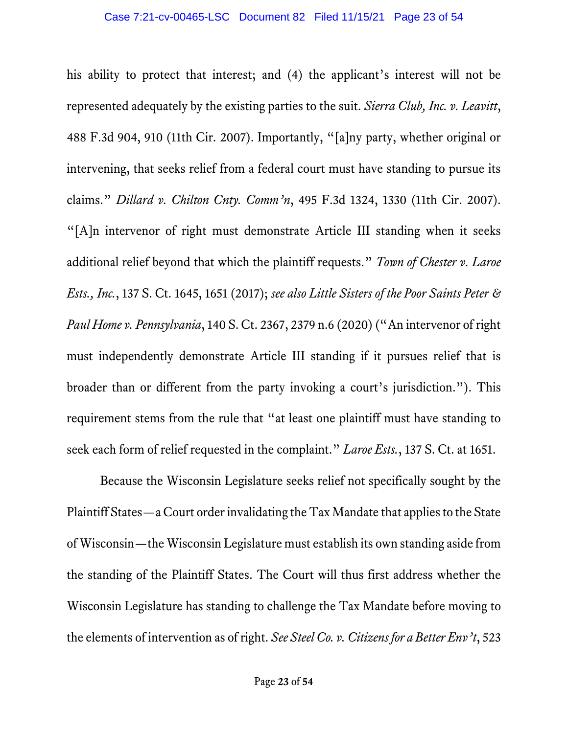his ability to protect that interest; and (4) the applicant's interest will not be represented adequately by the existing parties to the suit. *Sierra Club, Inc. v. Leavitt*, 488 F.3d 904, 910 (11th Cir. 2007). Importantly, "[a]ny party, whether original or intervening, that seeks relief from a federal court must have standing to pursue its claims." *Dillard v. Chilton Cnty. Comm'n*, 495 F.3d 1324, 1330 (11th Cir. 2007). "[A]n intervenor of right must demonstrate Article III standing when it seeks additional relief beyond that which the plaintiff requests." *Town of Chester v. Laroe Ests., Inc.*, 137 S. Ct. 1645, 1651 (2017); *see also Little Sisters of the Poor Saints Peter & Paul Home v. Pennsylvania*, 140 S. Ct. 2367, 2379 n.6 (2020) ("An intervenor of right must independently demonstrate Article III standing if it pursues relief that is broader than or different from the party invoking a court's jurisdiction."). This requirement stems from the rule that "at least one plaintiff must have standing to seek each form of relief requested in the complaint." *Laroe Ests.*, 137 S. Ct. at 1651.

Because the Wisconsin Legislature seeks relief not specifically sought by the Plaintiff States—a Court orderinvalidating the Tax Mandate that applies to the State of Wisconsin—the Wisconsin Legislature must establish its own standing aside from the standing of the Plaintiff States. The Court will thus first address whether the Wisconsin Legislature has standing to challenge the Tax Mandate before moving to the elements of intervention as of right. *See Steel Co. v. Citizens for a Better Env't*, 523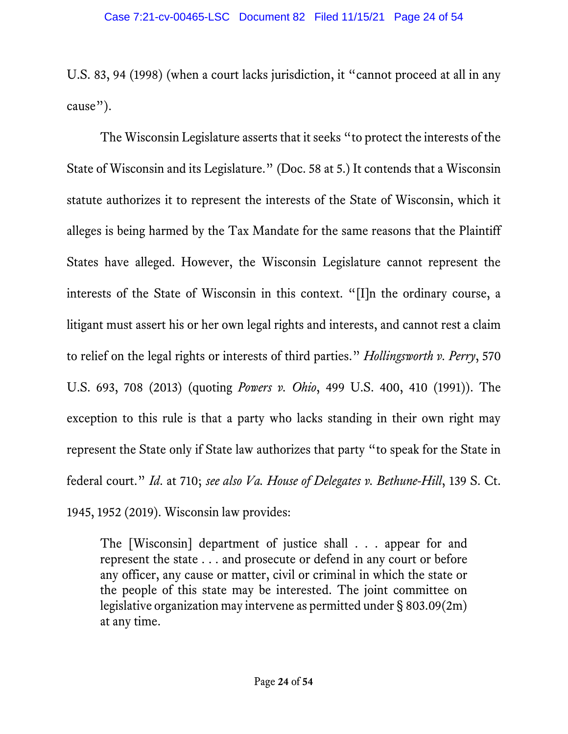U.S. 83, 94 (1998) (when a court lacks jurisdiction, it "cannot proceed at all in any cause").

The Wisconsin Legislature asserts that it seeks "to protect the interests of the State of Wisconsin and its Legislature." (Doc. 58 at 5.) It contends that a Wisconsin statute authorizes it to represent the interests of the State of Wisconsin, which it alleges is being harmed by the Tax Mandate for the same reasons that the Plaintiff States have alleged. However, the Wisconsin Legislature cannot represent the interests of the State of Wisconsin in this context. "[I]n the ordinary course, a litigant must assert his or her own legal rights and interests, and cannot rest a claim to relief on the legal rights or interests of third parties." *Hollingsworth v. Perry*, 570 U.S. 693, 708 (2013) (quoting *Powers v. Ohio*, 499 U.S. 400, 410 (1991)). The exception to this rule is that a party who lacks standing in their own right may represent the State only if State law authorizes that party "to speak for the State in federal court." *Id*. at 710; *see also Va. House of Delegates v. Bethune-Hill*, 139 S. Ct. 1945, 1952 (2019). Wisconsin law provides:

The [Wisconsin] department of justice shall . . . appear for and represent the state . . . and prosecute or defend in any court or before any officer, any cause or matter, civil or criminal in which the state or the people of this state may be interested. The joint committee on legislative organization may intervene as permitted under § 803.09(2m) at any time.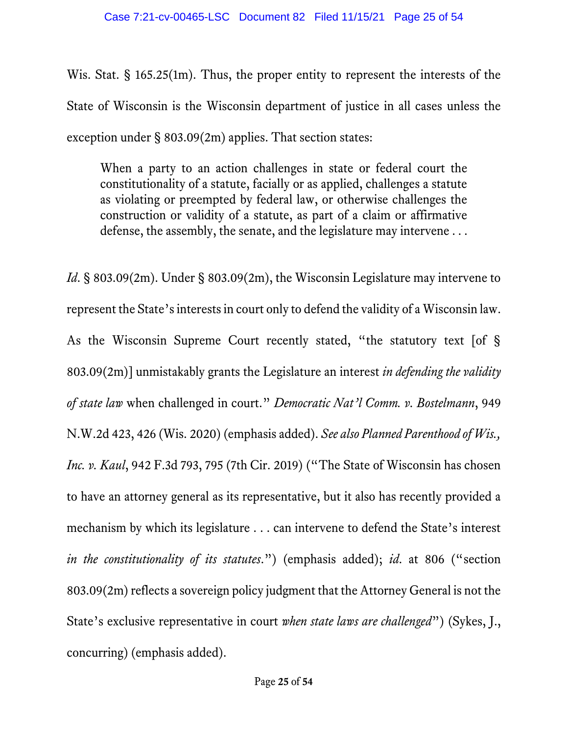Wis. Stat. § 165.25(1m). Thus, the proper entity to represent the interests of the State of Wisconsin is the Wisconsin department of justice in all cases unless the exception under § 803.09(2m) applies. That section states:

When a party to an action challenges in state or federal court the constitutionality of a statute, facially or as applied, challenges a statute as violating or preempted by federal law, or otherwise challenges the construction or validity of a statute, as part of a claim or affirmative defense, the assembly, the senate, and the legislature may intervene ...

*Id*. § 803.09(2m). Under § 803.09(2m), the Wisconsin Legislature may intervene to represent the State's interests in court only to defend the validity of a Wisconsin law. As the Wisconsin Supreme Court recently stated, "the statutory text [of § 803.09(2m)] unmistakably grants the Legislature an interest *in defending the validity of state law* when challenged in court." *Democratic Nat'l Comm. v. Bostelmann*, 949 N.W.2d 423, 426 (Wis. 2020) (emphasis added). *See also Planned Parenthood of Wis., Inc. v. Kaul*, 942 F.3d 793, 795 (7th Cir. 2019) ("The State of Wisconsin has chosen to have an attorney general as its representative, but it also has recently provided a mechanism by which its legislature . . . can intervene to defend the State's interest *in the constitutionality of its statutes*.") (emphasis added); *id*. at 806 ("section 803.09(2m) reflects a sovereign policy judgment that the Attorney General is not the State's exclusive representative in court *when state laws are challenged*") (Sykes, J., concurring) (emphasis added).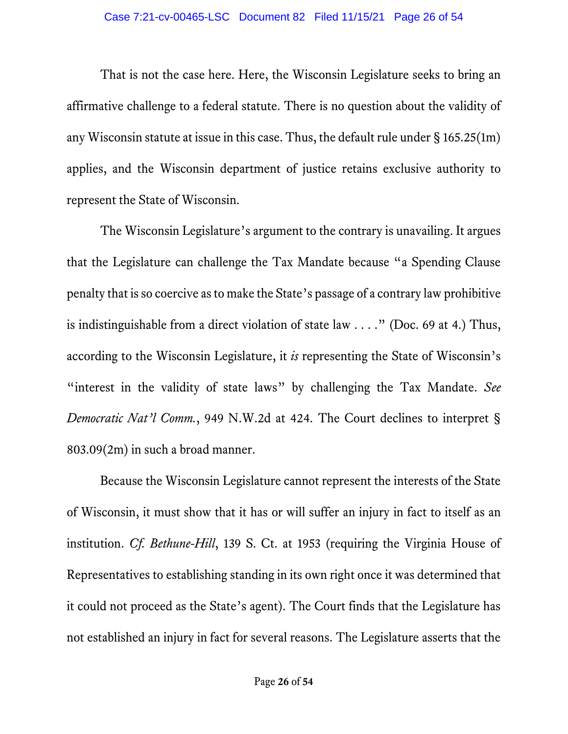That is not the case here. Here, the Wisconsin Legislature seeks to bring an affirmative challenge to a federal statute. There is no question about the validity of any Wisconsin statute at issue in this case. Thus, the default rule under § 165.25(1m) applies, and the Wisconsin department of justice retains exclusive authority to represent the State of Wisconsin.

The Wisconsin Legislature's argument to the contrary is unavailing. It argues that the Legislature can challenge the Tax Mandate because "a Spending Clause penalty that is so coercive as to make the State's passage of a contrary law prohibitive is indistinguishable from a direct violation of state law  $\dots$ ." (Doc. 69 at 4.) Thus, according to the Wisconsin Legislature, it *is* representing the State of Wisconsin's "interest in the validity of state laws" by challenging the Tax Mandate. *See Democratic Nat'l Comm.*, 949 N.W.2d at 424. The Court declines to interpret § 803.09(2m) in such a broad manner.

Because the Wisconsin Legislature cannot represent the interests of the State of Wisconsin, it must show that it has or will suffer an injury in fact to itself as an institution. *Cf. Bethune-Hill*, 139 S. Ct. at 1953 (requiring the Virginia House of Representatives to establishing standing in its own right once it was determined that it could not proceed as the State's agent). The Court finds that the Legislature has not established an injury in fact for several reasons. The Legislature asserts that the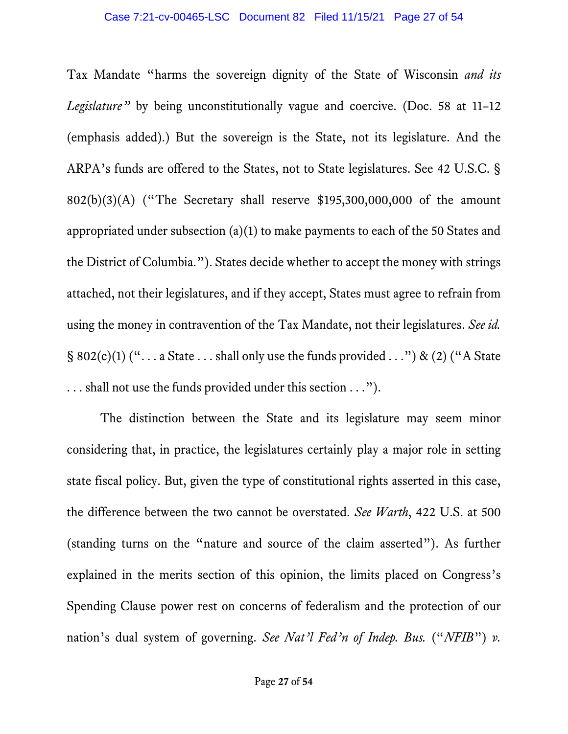Tax Mandate "harms the sovereign dignity of the State of Wisconsin *and its Legislature*<sup>"</sup> by being unconstitutionally vague and coercive. (Doc. 58 at 11-12 (emphasis added).) But the sovereign is the State, not its legislature. And the ARPA's funds are offered to the States, not to State legislatures. See 42 U.S.C. § 802(b)(3)(A) ("The Secretary shall reserve \$195,300,000,000 of the amount appropriated under subsection (a)(1) to make payments to each of the 50 States and the District of Columbia."). States decide whether to accept the money with strings attached, not their legislatures, and if they accept, States must agree to refrain from using the money in contravention of the Tax Mandate, not their legislatures. *See id.*  $\S 802(c)(1)$  ("... a State ... shall only use the funds provided ...") & (2) ("A State . . . shall not use the funds provided under this section . . .").

The distinction between the State and its legislature may seem minor considering that, in practice, the legislatures certainly play a major role in setting state fiscal policy. But, given the type of constitutional rights asserted in this case, the difference between the two cannot be overstated. *See Warth*, 422 U.S. at 500 (standing turns on the "nature and source of the claim asserted"). As further explained in the merits section of this opinion, the limits placed on Congress's Spending Clause power rest on concerns of federalism and the protection of our nation's dual system of governing. *See Nat'l Fed'n of Indep. Bus.* ("*NFIB*") *v.*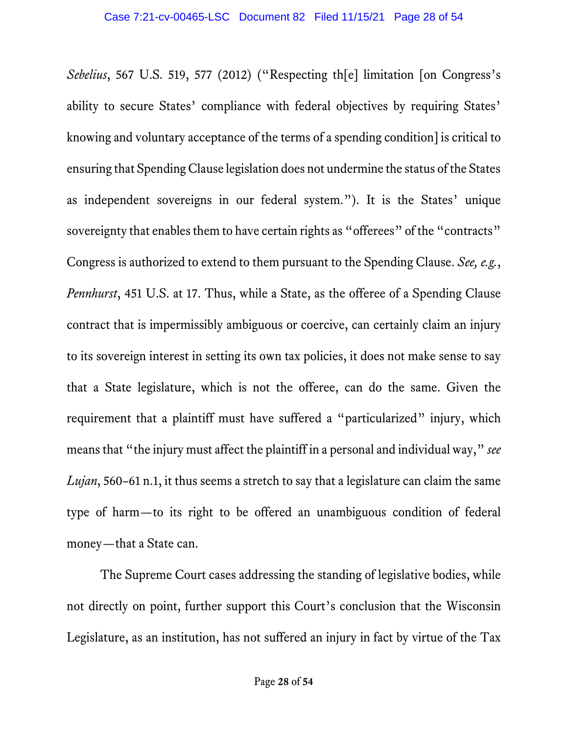*Sebelius*, 567 U.S. 519, 577 (2012) ("Respecting th[e] limitation [on Congress's ability to secure States' compliance with federal objectives by requiring States' knowing and voluntary acceptance of the terms of a spending condition] is critical to ensuring that Spending Clause legislation does not undermine the status of the States as independent sovereigns in our federal system."). It is the States' unique sovereignty that enables them to have certain rights as "offerees" of the "contracts" Congress is authorized to extend to them pursuant to the Spending Clause. *See, e.g.*, *Pennhurst*, 451 U.S. at 17. Thus, while a State, as the offeree of a Spending Clause contract that is impermissibly ambiguous or coercive, can certainly claim an injury to its sovereign interest in setting its own tax policies, it does not make sense to say that a State legislature, which is not the offeree, can do the same. Given the requirement that a plaintiff must have suffered a "particularized" injury, which means that "the injury must affect the plaintiff in a personal and individual way," *see Lujan*, 560–61 n.1, it thus seems a stretch to say that a legislature can claim the same type of harm—to its right to be offered an unambiguous condition of federal money—that a State can.

The Supreme Court cases addressing the standing of legislative bodies, while not directly on point, further support this Court's conclusion that the Wisconsin Legislature, as an institution, has not suffered an injury in fact by virtue of the Tax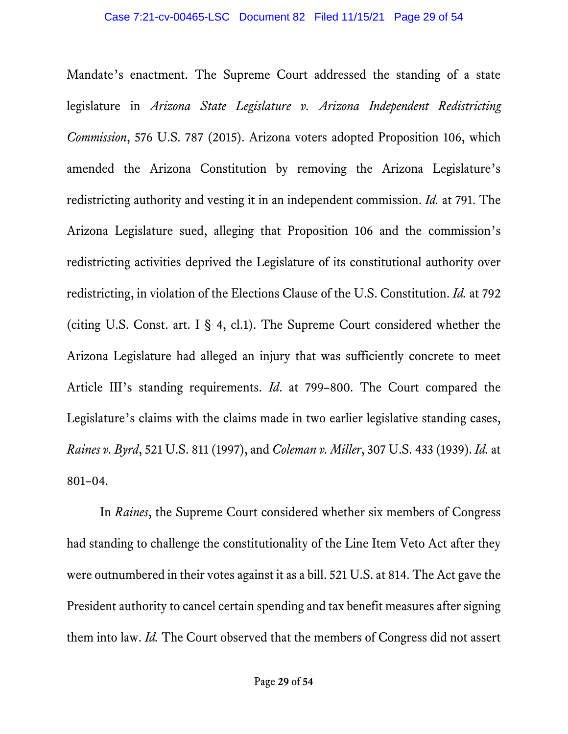Mandate's enactment. The Supreme Court addressed the standing of a state legislature in *Arizona State Legislature v. Arizona Independent Redistricting Commission*, 576 U.S. 787 (2015). Arizona voters adopted Proposition 106, which amended the Arizona Constitution by removing the Arizona Legislature's redistricting authority and vesting it in an independent commission. *Id.* at 791. The Arizona Legislature sued, alleging that Proposition 106 and the commission's redistricting activities deprived the Legislature of its constitutional authority over redistricting, in violation of the Elections Clause of the U.S. Constitution. *Id.* at 792 (citing U.S. Const. art. I § 4, cl.1). The Supreme Court considered whether the Arizona Legislature had alleged an injury that was sufficiently concrete to meet Article III's standing requirements. *Id*. at 799–800. The Court compared the Legislature's claims with the claims made in two earlier legislative standing cases, *Raines v. Byrd*, 521 U.S. 811 (1997), and *Coleman v. Miller*, 307 U.S. 433 (1939). *Id.* at 801–04.

In *Raines*, the Supreme Court considered whether six members of Congress had standing to challenge the constitutionality of the Line Item Veto Act after they were outnumbered in their votes against it as a bill. 521 U.S. at 814. The Act gave the President authority to cancel certain spending and tax benefit measures after signing them into law. *Id.* The Court observed that the members of Congress did not assert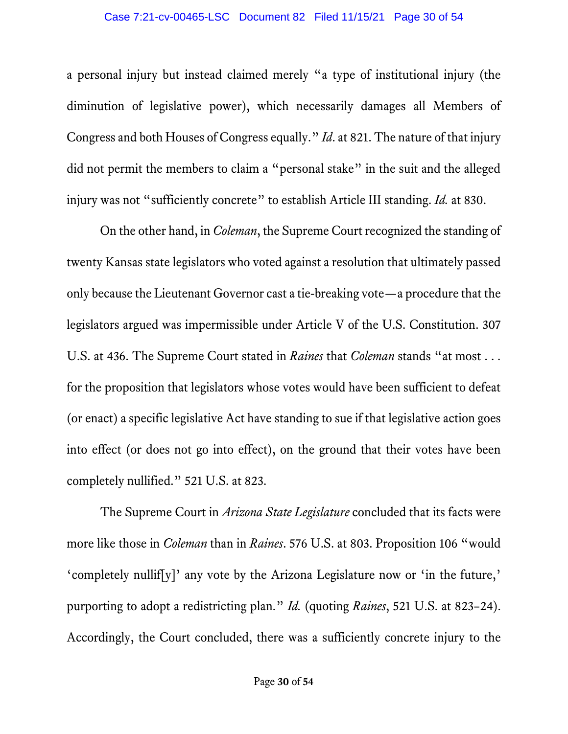a personal injury but instead claimed merely "a type of institutional injury (the diminution of legislative power), which necessarily damages all Members of Congress and both Houses of Congress equally." *Id*. at 821. The nature of that injury did not permit the members to claim a "personal stake" in the suit and the alleged injury was not "sufficiently concrete" to establish Article III standing. *Id.* at 830.

On the other hand, in *Coleman*, the Supreme Court recognized the standing of twenty Kansas state legislators who voted against a resolution that ultimately passed only because the Lieutenant Governor cast a tie-breaking vote—a procedure that the legislators argued was impermissible under Article V of the U.S. Constitution. 307 U.S. at 436. The Supreme Court stated in *Raines* that *Coleman* stands "at most . . . for the proposition that legislators whose votes would have been sufficient to defeat (or enact) a specific legislative Act have standing to sue if that legislative action goes into effect (or does not go into effect), on the ground that their votes have been completely nullified." 521 U.S. at 823.

The Supreme Court in *Arizona State Legislature* concluded that its facts were more like those in *Coleman* than in *Raines*. 576 U.S. at 803. Proposition 106 "would 'completely nullif[y]' any vote by the Arizona Legislature now or 'in the future,' purporting to adopt a redistricting plan." *Id.* (quoting *Raines*, 521 U.S. at 823–24). Accordingly, the Court concluded, there was a sufficiently concrete injury to the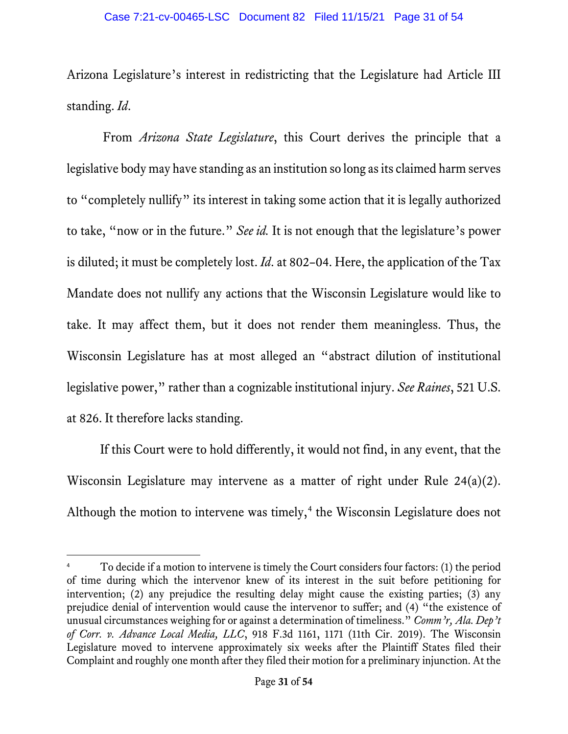Arizona Legislature's interest in redistricting that the Legislature had Article III standing. *Id*.

From *Arizona State Legislature*, this Court derives the principle that a legislative body may have standing as an institution so long as its claimed harm serves to "completely nullify" its interest in taking some action that it is legally authorized to take, "now or in the future." *See id.* It is not enough that the legislature's power is diluted; it must be completely lost. *Id*. at 802–04. Here, the application of the Tax Mandate does not nullify any actions that the Wisconsin Legislature would like to take. It may affect them, but it does not render them meaningless. Thus, the Wisconsin Legislature has at most alleged an "abstract dilution of institutional legislative power," rather than a cognizable institutional injury. *See Raines*, 521 U.S. at 826. It therefore lacks standing.

If this Court were to hold differently, it would not find, in any event, that the Wisconsin Legislature may intervene as a matter of right under Rule 24(a)(2). Although the motion to intervene was timely,<sup>[4](#page-30-0)</sup> the Wisconsin Legislature does not

<span id="page-30-0"></span><sup>4</sup> To decide if a motion to intervene is timely the Court considers four factors: (1) the period of time during which the intervenor knew of its interest in the suit before petitioning for intervention; (2) any prejudice the resulting delay might cause the existing parties; (3) any prejudice denial of intervention would cause the intervenor to suffer; and (4) "the existence of unusual circumstances weighing for or against a determination of timeliness." *Comm'r, Ala. Dep't of Corr. v. Advance Local Media, LLC*, 918 F.3d 1161, 1171 (11th Cir. 2019). The Wisconsin Legislature moved to intervene approximately six weeks after the Plaintiff States filed their Complaint and roughly one month after they filed their motion for a preliminary injunction. At the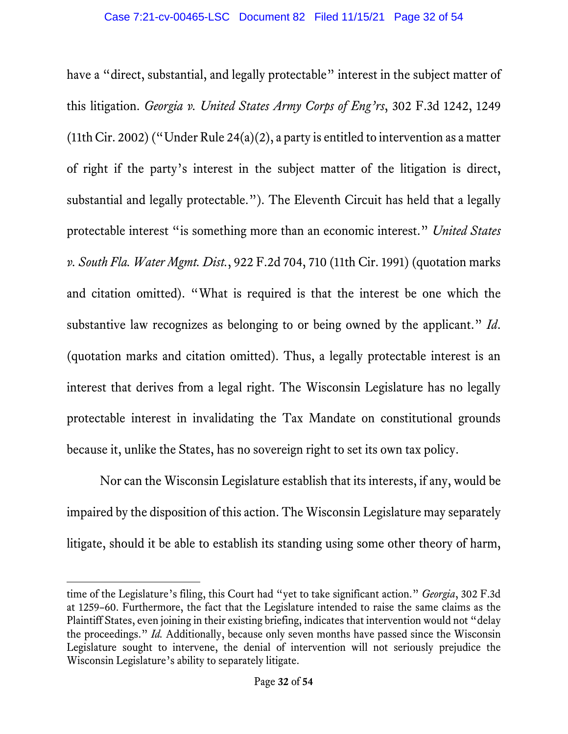have a "direct, substantial, and legally protectable" interest in the subject matter of this litigation. *Georgia v. United States Army Corps of Eng'rs*, 302 F.3d 1242, 1249 (11th Cir. 2002) ("Under Rule 24(a)(2), a party is entitled to intervention as a matter of right if the party's interest in the subject matter of the litigation is direct, substantial and legally protectable."). The Eleventh Circuit has held that a legally protectable interest "is something more than an economic interest." *United States v. South Fla. Water Mgmt. Dist.*, 922 F.2d 704, 710 (11th Cir. 1991) (quotation marks and citation omitted). "What is required is that the interest be one which the substantive law recognizes as belonging to or being owned by the applicant." *Id*. (quotation marks and citation omitted). Thus, a legally protectable interest is an interest that derives from a legal right. The Wisconsin Legislature has no legally protectable interest in invalidating the Tax Mandate on constitutional grounds because it, unlike the States, has no sovereign right to set its own tax policy.

Nor can the Wisconsin Legislature establish that its interests, if any, would be impaired by the disposition of this action. The Wisconsin Legislature may separately litigate, should it be able to establish its standing using some other theory of harm,

time of the Legislature's filing, this Court had "yet to take significant action." *Georgia*, 302 F.3d at 1259–60. Furthermore, the fact that the Legislature intended to raise the same claims as the Plaintiff States, even joining in their existing briefing, indicates that intervention would not "delay the proceedings." *Id.* Additionally, because only seven months have passed since the Wisconsin Legislature sought to intervene, the denial of intervention will not seriously prejudice the Wisconsin Legislature's ability to separately litigate.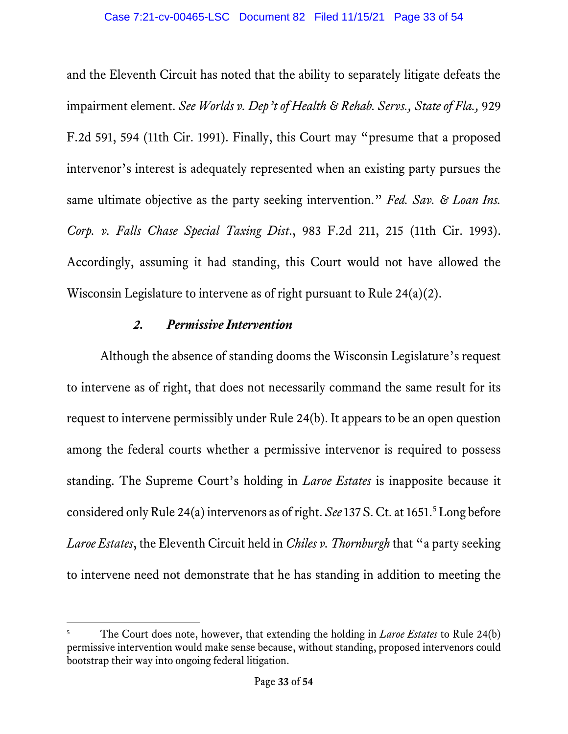and the Eleventh Circuit has noted that the ability to separately litigate defeats the impairment element. *See Worlds v. Dep't of Health & Rehab. Servs., State of Fla.,* 929 F.2d 591, 594 (11th Cir. 1991). Finally, this Court may "presume that a proposed intervenor's interest is adequately represented when an existing party pursues the same ultimate objective as the party seeking intervention." *Fed. Sav. & Loan Ins. Corp. v. Falls Chase Special Taxing Dist*., 983 F.2d 211, 215 (11th Cir. 1993). Accordingly, assuming it had standing, this Court would not have allowed the Wisconsin Legislature to intervene as of right pursuant to Rule 24(a)(2).

### *2. Permissive Intervention*

Although the absence of standing dooms the Wisconsin Legislature's request to intervene as of right, that does not necessarily command the same result for its request to intervene permissibly under Rule 24(b). It appears to be an open question among the federal courts whether a permissive intervenor is required to possess standing. The Supreme Court's holding in *Laroe Estates* is inapposite because it considered only Rule 24(a) intervenors as of right. *See* 137 S. Ct. at 16[5](#page-32-0)1.<sup>5</sup> Long before *Laroe Estates*, the Eleventh Circuit held in *Chiles v. Thornburgh* that "a party seeking to intervene need not demonstrate that he has standing in addition to meeting the

<span id="page-32-0"></span><sup>5</sup> The Court does note, however, that extending the holding in *Laroe Estates* to Rule 24(b) permissive intervention would make sense because, without standing, proposed intervenors could bootstrap their way into ongoing federal litigation.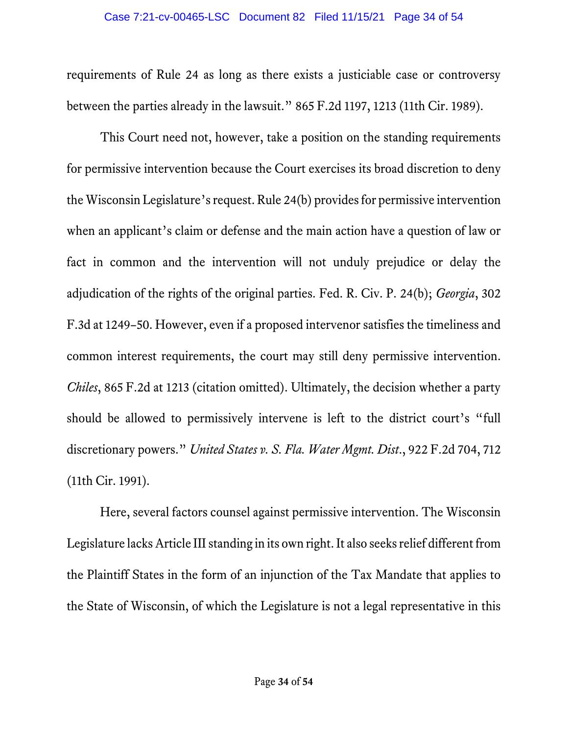requirements of Rule 24 as long as there exists a justiciable case or controversy between the parties already in the lawsuit." 865 F.2d 1197, 1213 (11th Cir. 1989).

This Court need not, however, take a position on the standing requirements for permissive intervention because the Court exercises its broad discretion to deny the Wisconsin Legislature's request. Rule 24(b) provides for permissive intervention when an applicant's claim or defense and the main action have a question of law or fact in common and the intervention will not unduly prejudice or delay the adjudication of the rights of the original parties. Fed. R. Civ. P. 24(b); *Georgia*, 302 F.3d at 1249–50. However, even if a proposed intervenor satisfies the timeliness and common interest requirements, the court may still deny permissive intervention. *Chiles*, 865 F.2d at 1213 (citation omitted). Ultimately, the decision whether a party should be allowed to permissively intervene is left to the district court's "full discretionary powers." *United States v. S. Fla. Water Mgmt. Dist*., 922 F.2d 704, 712 (11th Cir. 1991).

Here, several factors counsel against permissive intervention. The Wisconsin Legislature lacks Article III standing in its own right. It also seeks relief different from the Plaintiff States in the form of an injunction of the Tax Mandate that applies to the State of Wisconsin, of which the Legislature is not a legal representative in this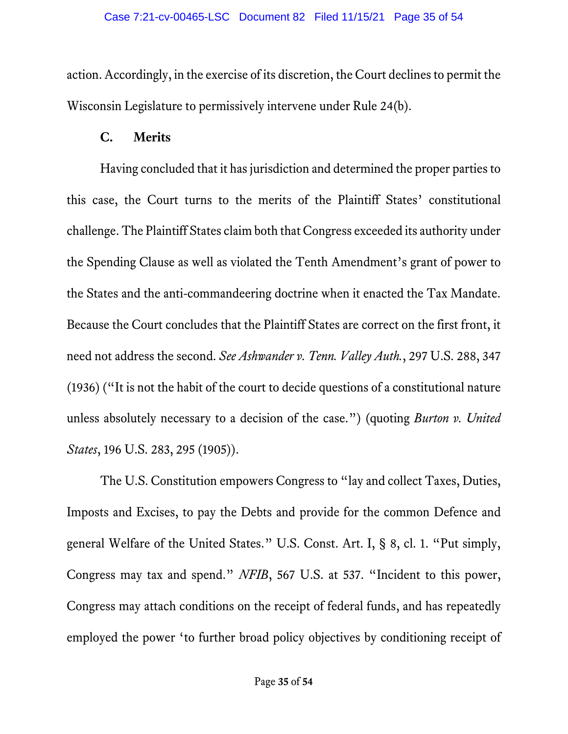action. Accordingly, in the exercise of its discretion, the Court declines to permit the Wisconsin Legislature to permissively intervene under Rule 24(b).

### **C. Merits**

Having concluded that it has jurisdiction and determined the proper parties to this case, the Court turns to the merits of the Plaintiff States' constitutional challenge. The Plaintiff States claim both that Congress exceeded its authority under the Spending Clause as well as violated the Tenth Amendment's grant of power to the States and the anti-commandeering doctrine when it enacted the Tax Mandate. Because the Court concludes that the Plaintiff States are correct on the first front, it need not address the second. *See Ashwander v. Tenn. Valley Auth.*, 297 U.S. 288, 347 (1936) ("It is not the habit of the court to decide questions of a constitutional nature unless absolutely necessary to a decision of the case.") (quoting *Burton v. United States*, 196 U.S. 283, 295 (1905)).

The U.S. Constitution empowers Congress to "lay and collect Taxes, Duties, Imposts and Excises, to pay the Debts and provide for the common Defence and general Welfare of the United States." U.S. Const. Art. I, § 8, cl. 1. "Put simply, Congress may tax and spend." *NFIB*, 567 U.S. at 537. "Incident to this power, Congress may attach conditions on the receipt of federal funds, and has repeatedly employed the power 'to further broad policy objectives by conditioning receipt of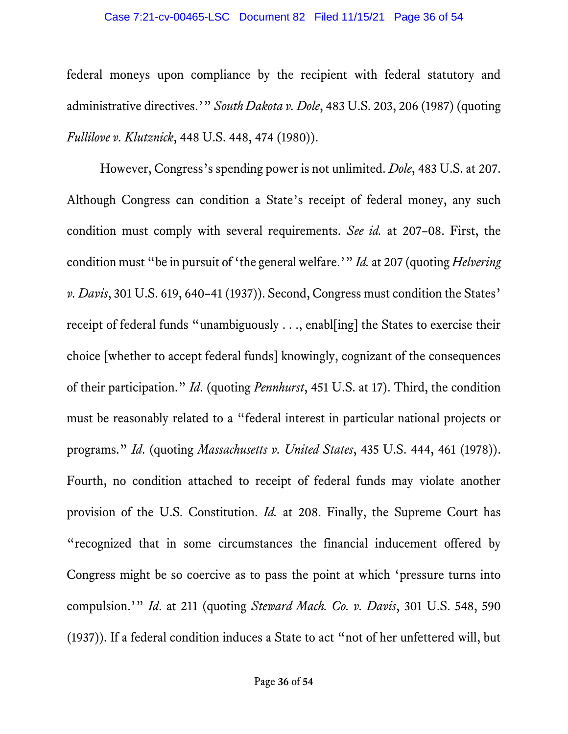federal moneys upon compliance by the recipient with federal statutory and administrative directives.'" *South Dakota v. Dole*, 483 U.S. 203, 206 (1987) (quoting *Fullilove v. Klutznick*, 448 U.S. 448, 474 (1980)).

However, Congress's spending power is not unlimited. *Dole*, 483 U.S. at 207. Although Congress can condition a State's receipt of federal money, any such condition must comply with several requirements. *See id.* at 207–08. First, the condition must "be in pursuit of 'the general welfare.'" *Id.* at 207 (quoting *Helvering v. Davis*, 301 U.S. 619, 640–41 (1937)). Second, Congress must condition the States' receipt of federal funds "unambiguously . . ., enabl[ing] the States to exercise their choice [whether to accept federal funds] knowingly, cognizant of the consequences of their participation." *Id*. (quoting *Pennhurst*, 451 U.S. at 17). Third, the condition must be reasonably related to a "federal interest in particular national projects or programs." *Id*. (quoting *Massachusetts v. United States*, 435 U.S. 444, 461 (1978)). Fourth, no condition attached to receipt of federal funds may violate another provision of the U.S. Constitution. *Id.* at 208. Finally, the Supreme Court has "recognized that in some circumstances the financial inducement offered by Congress might be so coercive as to pass the point at which 'pressure turns into compulsion.'" *Id*. at 211 (quoting *Steward Mach. Co. v. Davis*, 301 U.S. 548, 590 (1937)). If a federal condition induces a State to act "not of her unfettered will, but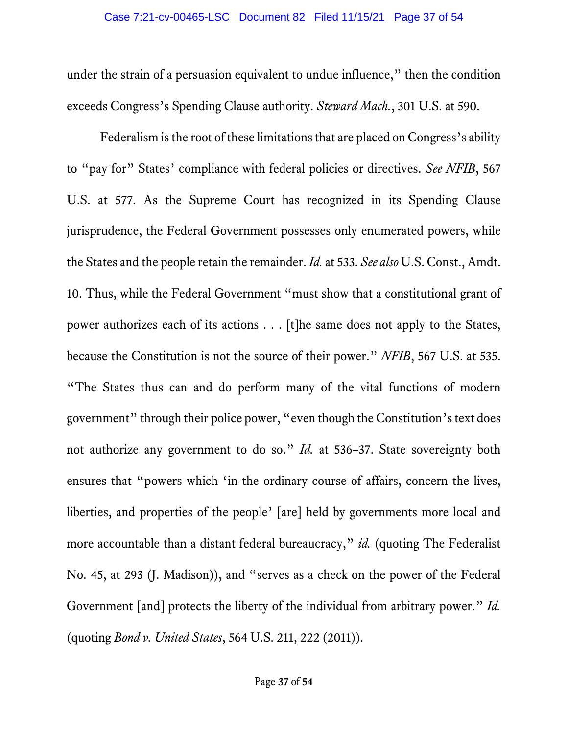under the strain of a persuasion equivalent to undue influence," then the condition exceeds Congress's Spending Clause authority. *Steward Mach.*, 301 U.S. at 590.

Federalism is the root of these limitations that are placed on Congress's ability to "pay for" States' compliance with federal policies or directives. *See NFIB*, 567 U.S. at 577. As the Supreme Court has recognized in its Spending Clause jurisprudence, the Federal Government possesses only enumerated powers, while the States and the people retain the remainder. *Id.* at 533. *See also* U.S. Const., Amdt. 10. Thus, while the Federal Government "must show that a constitutional grant of power authorizes each of its actions . . . [t]he same does not apply to the States, because the Constitution is not the source of their power." *NFIB*, 567 U.S. at 535. "The States thus can and do perform many of the vital functions of modern government" through their police power, "even though the Constitution's text does not authorize any government to do so." *Id.* at 536–37. State sovereignty both ensures that "powers which 'in the ordinary course of affairs, concern the lives, liberties, and properties of the people' [are] held by governments more local and more accountable than a distant federal bureaucracy," *id.* (quoting The Federalist No. 45, at 293 (J. Madison)), and "serves as a check on the power of the Federal Government [and] protects the liberty of the individual from arbitrary power." *Id.*  (quoting *Bond v. United States*, 564 U.S. 211, 222 (2011)).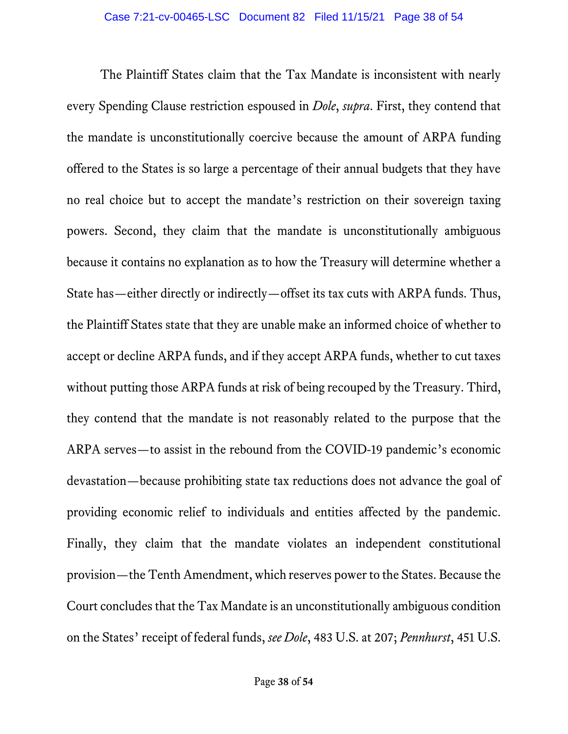The Plaintiff States claim that the Tax Mandate is inconsistent with nearly every Spending Clause restriction espoused in *Dole*, *supra*. First, they contend that the mandate is unconstitutionally coercive because the amount of ARPA funding offered to the States is so large a percentage of their annual budgets that they have no real choice but to accept the mandate's restriction on their sovereign taxing powers. Second, they claim that the mandate is unconstitutionally ambiguous because it contains no explanation as to how the Treasury will determine whether a State has—either directly or indirectly—offset its tax cuts with ARPA funds. Thus, the Plaintiff States state that they are unable make an informed choice of whether to accept or decline ARPA funds, and if they accept ARPA funds, whether to cut taxes without putting those ARPA funds at risk of being recouped by the Treasury. Third, they contend that the mandate is not reasonably related to the purpose that the ARPA serves—to assist in the rebound from the COVID-19 pandemic's economic devastation—because prohibiting state tax reductions does not advance the goal of providing economic relief to individuals and entities affected by the pandemic. Finally, they claim that the mandate violates an independent constitutional provision—the Tenth Amendment, which reserves power to the States. Because the Court concludes that the Tax Mandate is an unconstitutionally ambiguous condition on the States' receipt of federal funds, *see Dole*, 483 U.S. at 207; *Pennhurst*, 451 U.S.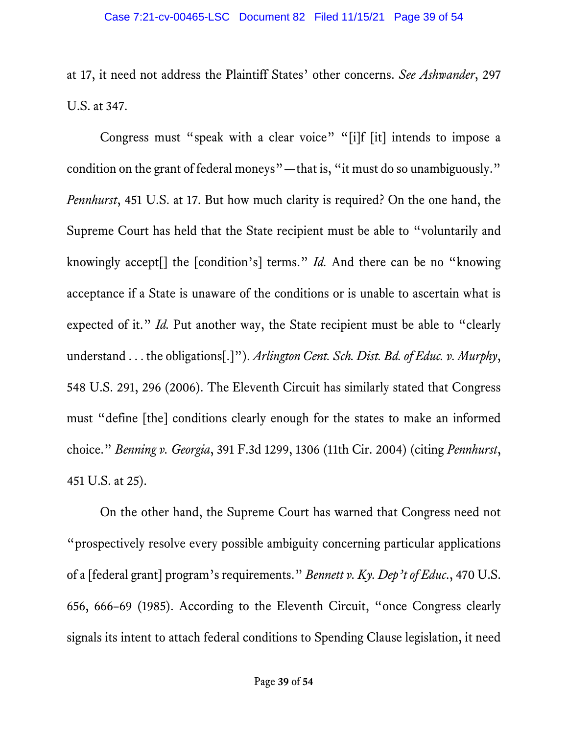at 17, it need not address the Plaintiff States' other concerns. *See Ashwander*, 297 U.S. at 347.

Congress must "speak with a clear voice" "[i]f [it] intends to impose a condition on the grant of federal moneys"—that is, "it must do so unambiguously." *Pennhurst*, 451 U.S. at 17. But how much clarity is required? On the one hand, the Supreme Court has held that the State recipient must be able to "voluntarily and knowingly accept[] the [condition's] terms." *Id.* And there can be no "knowing acceptance if a State is unaware of the conditions or is unable to ascertain what is expected of it." *Id.* Put another way, the State recipient must be able to "clearly understand . . . the obligations[.]"). *Arlington Cent. Sch. Dist. Bd. of Educ. v. Murphy*, 548 U.S. 291, 296 (2006). The Eleventh Circuit has similarly stated that Congress must "define [the] conditions clearly enough for the states to make an informed choice." *Benning v. Georgia*, 391 F.3d 1299, 1306 (11th Cir. 2004) (citing *Pennhurst*, 451 U.S. at 25).

On the other hand, the Supreme Court has warned that Congress need not "prospectively resolve every possible ambiguity concerning particular applications of a [federal grant] program's requirements." *Bennett v. Ky. Dep'tof Educ*., 470 U.S. 656, 666–69 (1985). According to the Eleventh Circuit, "once Congress clearly signals its intent to attach federal conditions to Spending Clause legislation, it need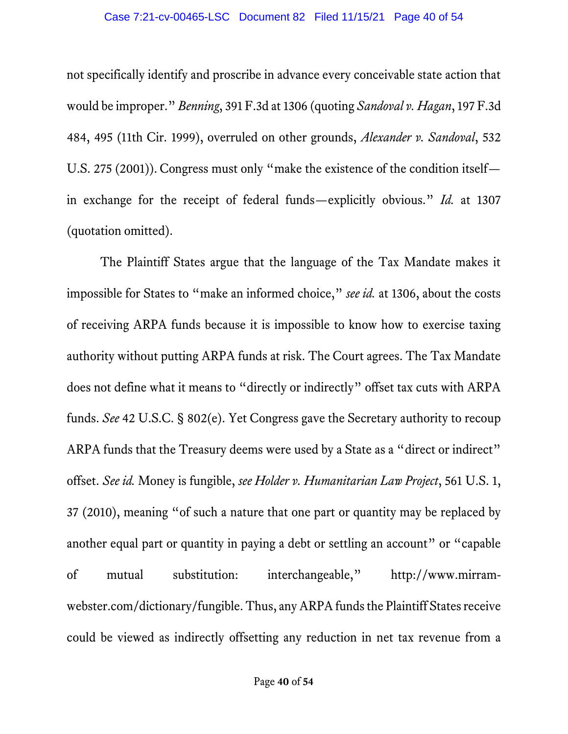not specifically identify and proscribe in advance every conceivable state action that would be improper." *Benning*, 391 F.3d at 1306 (quoting *Sandoval v. Hagan*, 197 F.3d 484, 495 (11th Cir. 1999), overruled on other grounds, *Alexander v. Sandoval*, 532 U.S. 275 (2001)). Congress must only "make the existence of the condition itself in exchange for the receipt of federal funds—explicitly obvious." *Id.* at 1307 (quotation omitted).

The Plaintiff States argue that the language of the Tax Mandate makes it impossible for States to "make an informed choice," *see id.* at 1306, about the costs of receiving ARPA funds because it is impossible to know how to exercise taxing authority without putting ARPA funds at risk. The Court agrees. The Tax Mandate does not define what it means to "directly or indirectly" offset tax cuts with ARPA funds. *See* 42 U.S.C. § 802(e). Yet Congress gave the Secretary authority to recoup ARPA funds that the Treasury deems were used by a State as a "direct or indirect" offset. *See id.* Money is fungible, *see Holder v. Humanitarian Law Project*, 561 U.S. 1, 37 (2010), meaning "of such a nature that one part or quantity may be replaced by another equal part or quantity in paying a debt or settling an account" or "capable of mutual substitution: interchangeable," http://www.mirramwebster.com/dictionary/fungible. Thus, any ARPA funds the Plaintiff States receive could be viewed as indirectly offsetting any reduction in net tax revenue from a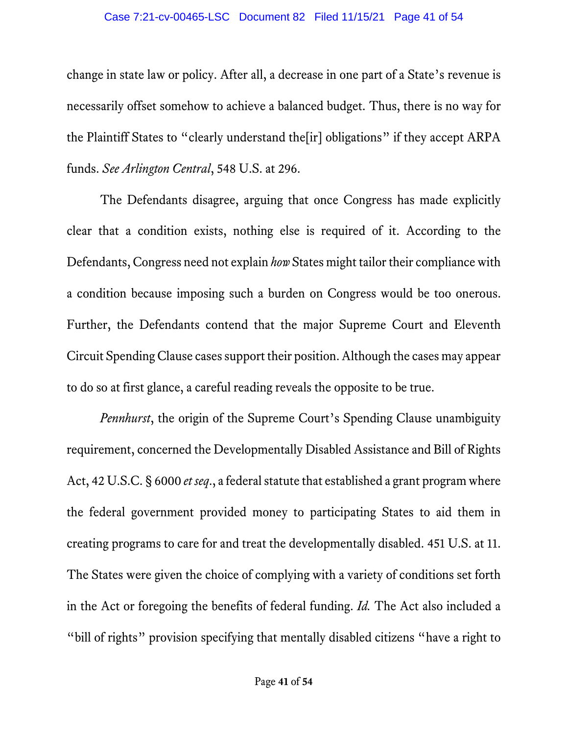change in state law or policy. After all, a decrease in one part of a State's revenue is necessarily offset somehow to achieve a balanced budget. Thus, there is no way for the Plaintiff States to "clearly understand the[ir] obligations" if they accept ARPA funds. *See Arlington Central*, 548 U.S. at 296.

The Defendants disagree, arguing that once Congress has made explicitly clear that a condition exists, nothing else is required of it. According to the Defendants, Congress need not explain *how* States might tailor their compliance with a condition because imposing such a burden on Congress would be too onerous. Further, the Defendants contend that the major Supreme Court and Eleventh Circuit Spending Clause cases support their position. Although the cases may appear to do so at first glance, a careful reading reveals the opposite to be true.

*Pennhurst*, the origin of the Supreme Court's Spending Clause unambiguity requirement, concerned the Developmentally Disabled Assistance and Bill of Rights Act, 42 U.S.C. § 6000 *et seq*., a federal statute that established a grant program where the federal government provided money to participating States to aid them in creating programs to care for and treat the developmentally disabled. 451 U.S. at 11. The States were given the choice of complying with a variety of conditions set forth in the Act or foregoing the benefits of federal funding. *Id.* The Act also included a "bill of rights" provision specifying that mentally disabled citizens "have a right to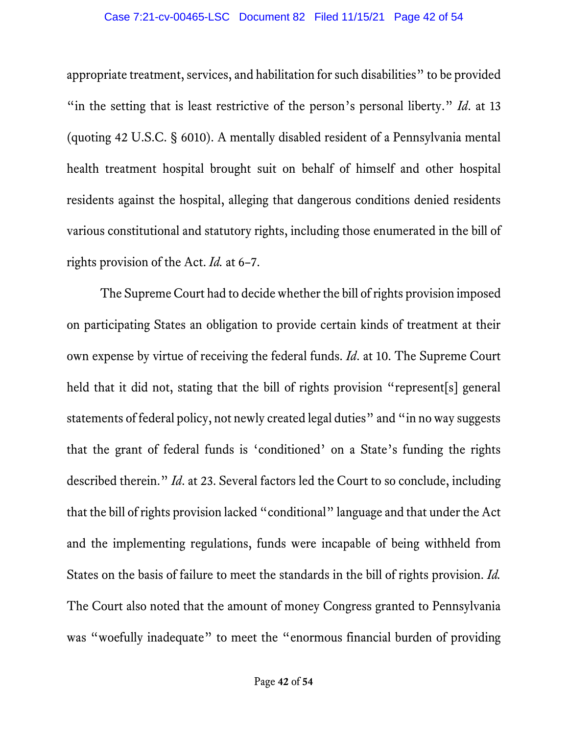appropriate treatment, services, and habilitation forsuch disabilities" to be provided "in the setting that is least restrictive of the person's personal liberty." *Id*. at 13 (quoting 42 U.S.C. § 6010). A mentally disabled resident of a Pennsylvania mental health treatment hospital brought suit on behalf of himself and other hospital residents against the hospital, alleging that dangerous conditions denied residents various constitutional and statutory rights, including those enumerated in the bill of rights provision of the Act. *Id.* at 6–7.

The Supreme Court had to decide whether the bill of rights provision imposed on participating States an obligation to provide certain kinds of treatment at their own expense by virtue of receiving the federal funds. *Id*. at 10. The Supreme Court held that it did not, stating that the bill of rights provision "represent[s] general statements of federal policy, not newly created legal duties" and "in no way suggests that the grant of federal funds is 'conditioned' on a State's funding the rights described therein." *Id*. at 23. Several factors led the Court to so conclude, including that the bill of rights provision lacked "conditional" language and that under the Act and the implementing regulations, funds were incapable of being withheld from States on the basis of failure to meet the standards in the bill of rights provision. *Id.*  The Court also noted that the amount of money Congress granted to Pennsylvania was "woefully inadequate" to meet the "enormous financial burden of providing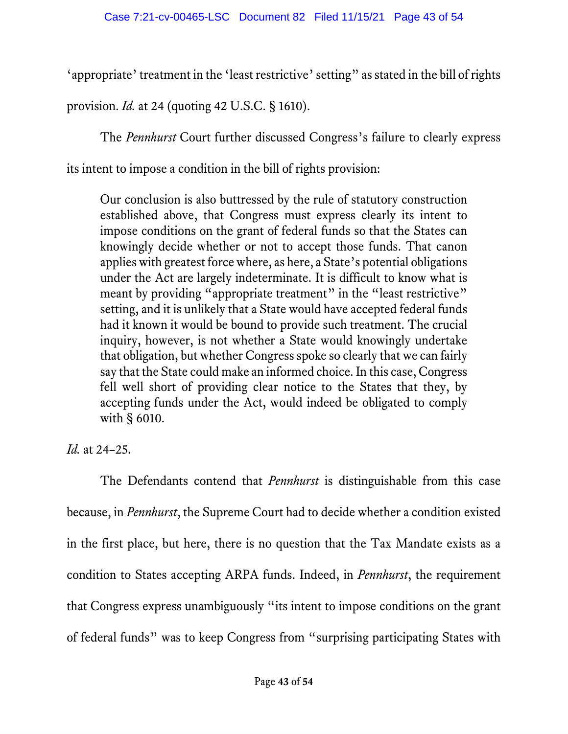'appropriate' treatment in the 'least restrictive' setting" as stated in the bill of rights

provision. *Id.* at 24 (quoting 42 U.S.C. § 1610).

The *Pennhurst* Court further discussed Congress's failure to clearly express

its intent to impose a condition in the bill of rights provision:

Our conclusion is also buttressed by the rule of statutory construction established above, that Congress must express clearly its intent to impose conditions on the grant of federal funds so that the States can knowingly decide whether or not to accept those funds. That canon applies with greatest force where, as here, a State's potential obligations under the Act are largely indeterminate. It is difficult to know what is meant by providing "appropriate treatment" in the "least restrictive" setting, and it is unlikely that a State would have accepted federal funds had it known it would be bound to provide such treatment. The crucial inquiry, however, is not whether a State would knowingly undertake that obligation, but whether Congress spoke so clearly that we can fairly say that the State could make an informed choice. In this case, Congress fell well short of providing clear notice to the States that they, by accepting funds under the Act, would indeed be obligated to comply with § 6010.

*Id.* at 24–25.

The Defendants contend that *Pennhurst* is distinguishable from this case because, in *Pennhurst*, the Supreme Court had to decide whether a condition existed in the first place, but here, there is no question that the Tax Mandate exists as a condition to States accepting ARPA funds. Indeed, in *Pennhurst*, the requirement that Congress express unambiguously "its intent to impose conditions on the grant of federal funds" was to keep Congress from "surprising participating States with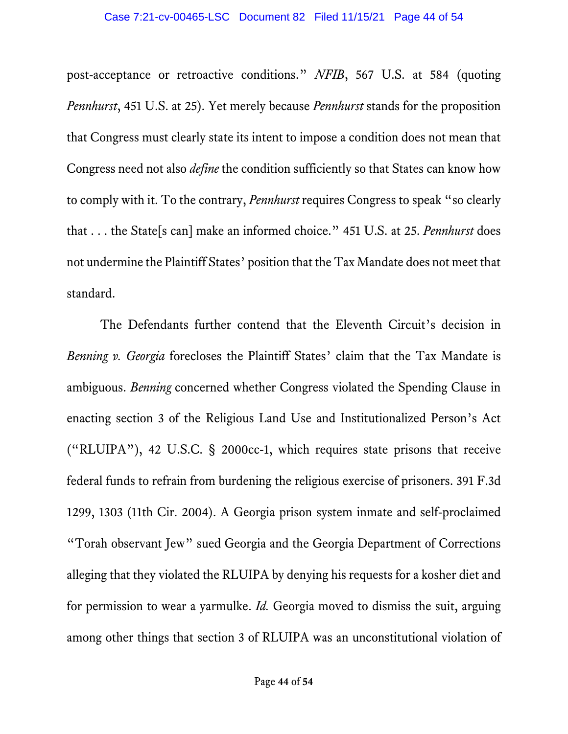post-acceptance or retroactive conditions." *NFIB*, 567 U.S. at 584 (quoting *Pennhurst*, 451 U.S. at 25). Yet merely because *Pennhurst* stands for the proposition that Congress must clearly state its intent to impose a condition does not mean that Congress need not also *define* the condition sufficiently so that States can know how to comply with it. To the contrary, *Pennhurst* requires Congress to speak "so clearly that . . . the State[s can] make an informed choice." 451 U.S. at 25. *Pennhurst* does not undermine the Plaintiff States' position that the Tax Mandate does not meet that standard.

The Defendants further contend that the Eleventh Circuit's decision in *Benning v. Georgia* forecloses the Plaintiff States' claim that the Tax Mandate is ambiguous. *Benning* concerned whether Congress violated the Spending Clause in enacting section 3 of the Religious Land Use and Institutionalized Person's Act ("RLUIPA"), 42 U.S.C. § 2000cc-1, which requires state prisons that receive federal funds to refrain from burdening the religious exercise of prisoners. 391 F.3d 1299, 1303 (11th Cir. 2004). A Georgia prison system inmate and self-proclaimed "Torah observant Jew" sued Georgia and the Georgia Department of Corrections alleging that they violated the RLUIPA by denying his requests for a kosher diet and for permission to wear a yarmulke. *Id.* Georgia moved to dismiss the suit, arguing among other things that section 3 of RLUIPA was an unconstitutional violation of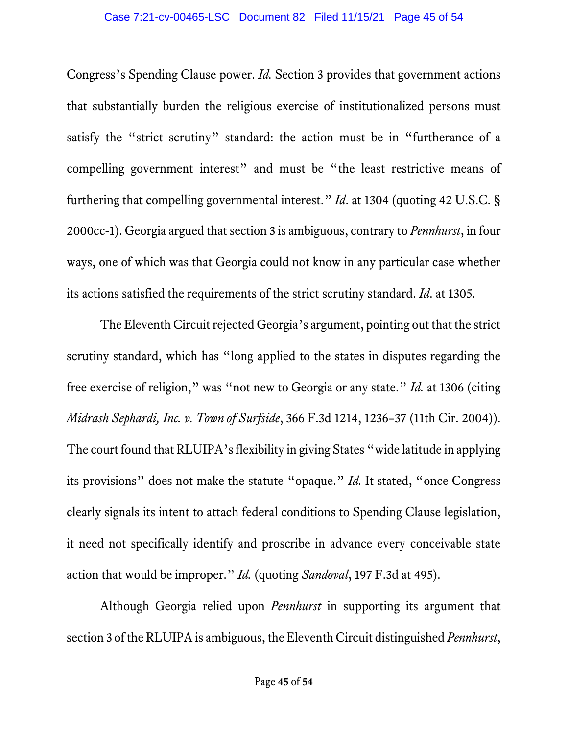Congress's Spending Clause power. *Id.* Section 3 provides that government actions that substantially burden the religious exercise of institutionalized persons must satisfy the "strict scrutiny" standard: the action must be in "furtherance of a compelling government interest" and must be "the least restrictive means of furthering that compelling governmental interest." *Id*. at 1304 (quoting 42 U.S.C. § 2000cc-1). Georgia argued that section 3 is ambiguous, contrary to *Pennhurst*, in four ways, one of which was that Georgia could not know in any particular case whether its actions satisfied the requirements of the strict scrutiny standard. *Id*. at 1305.

The Eleventh Circuit rejected Georgia's argument, pointing out that the strict scrutiny standard, which has "long applied to the states in disputes regarding the free exercise of religion," was "not new to Georgia or any state." *Id.* at 1306 (citing *Midrash Sephardi, Inc. v. Town of Surfside*, 366 F.3d 1214, 1236–37 (11th Cir. 2004)). The court found that RLUIPA's flexibility in giving States "wide latitude in applying its provisions" does not make the statute "opaque." *Id.* It stated, "once Congress clearly signals its intent to attach federal conditions to Spending Clause legislation, it need not specifically identify and proscribe in advance every conceivable state action that would be improper." *Id.* (quoting *Sandoval*, 197 F.3d at 495).

Although Georgia relied upon *Pennhurst* in supporting its argument that section 3 of the RLUIPA is ambiguous, the Eleventh Circuit distinguished *Pennhurst*,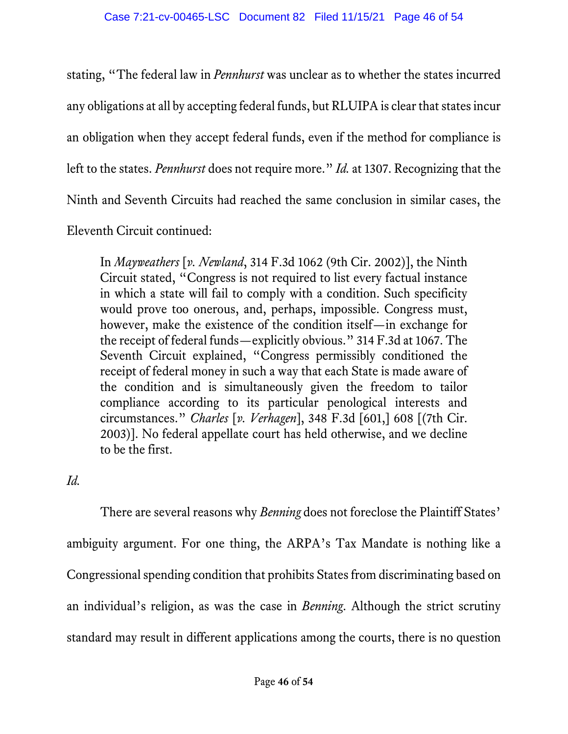stating, "The federal law in *Pennhurst* was unclear as to whether the states incurred any obligations at all by accepting federal funds, but RLUIPA is clear that states incur an obligation when they accept federal funds, even if the method for compliance is left to the states. *Pennhurst* does not require more." *Id.* at 1307. Recognizing that the Ninth and Seventh Circuits had reached the same conclusion in similar cases, the

Eleventh Circuit continued:

In *Mayweathers* [*v. Newland*, 314 F.3d 1062 (9th Cir. 2002)], the Ninth Circuit stated, "Congress is not required to list every factual instance in which a state will fail to comply with a condition. Such specificity would prove too onerous, and, perhaps, impossible. Congress must, however, make the existence of the condition itself—in exchange for the receipt of federal funds—explicitly obvious." 314 F.3d at 1067. The Seventh Circuit explained, "Congress permissibly conditioned the receipt of federal money in such a way that each State is made aware of the condition and is simultaneously given the freedom to tailor compliance according to its particular penological interests and circumstances." *Charles* [*v. Verhagen*], 348 F.3d [601,] 608 [(7th Cir. 2003)]. No federal appellate court has held otherwise, and we decline to be the first.

*Id.*

There are several reasons why *Benning* does not foreclose the Plaintiff States' ambiguity argument. For one thing, the ARPA's Tax Mandate is nothing like a Congressional spending condition that prohibits States from discriminating based on an individual's religion, as was the case in *Benning*. Although the strict scrutiny standard may result in different applications among the courts, there is no question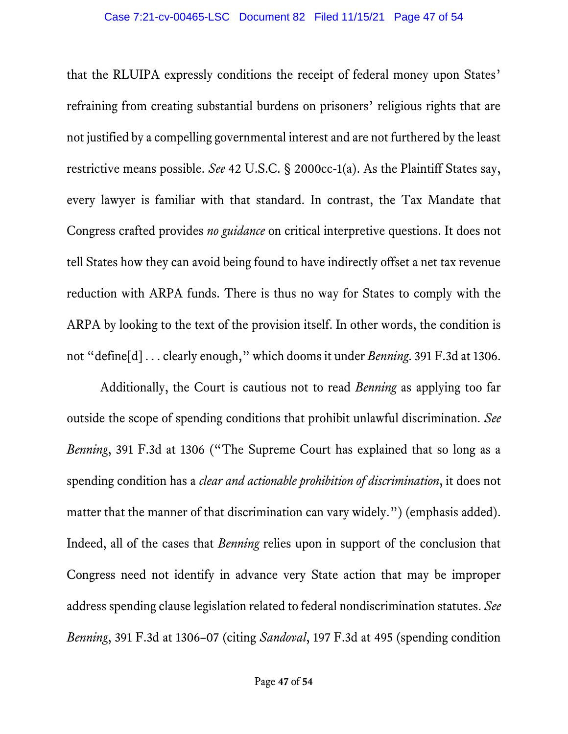that the RLUIPA expressly conditions the receipt of federal money upon States' refraining from creating substantial burdens on prisoners' religious rights that are not justified by a compelling governmental interest and are not furthered by the least restrictive means possible. *See* 42 U.S.C. § 2000cc-1(a). As the Plaintiff States say, every lawyer is familiar with that standard. In contrast, the Tax Mandate that Congress crafted provides *no guidance* on critical interpretive questions. It does not tell States how they can avoid being found to have indirectly offset a net tax revenue reduction with ARPA funds. There is thus no way for States to comply with the ARPA by looking to the text of the provision itself. In other words, the condition is not "define[d] . . . clearly enough," which dooms it under *Benning*. 391 F.3d at 1306.

Additionally, the Court is cautious not to read *Benning* as applying too far outside the scope of spending conditions that prohibit unlawful discrimination. *See Benning*, 391 F.3d at 1306 ("The Supreme Court has explained that so long as a spending condition has a *clear and actionable prohibition of discrimination*, it does not matter that the manner of that discrimination can vary widely.") (emphasis added). Indeed, all of the cases that *Benning* relies upon in support of the conclusion that Congress need not identify in advance very State action that may be improper address spending clause legislation related to federal nondiscrimination statutes. *See Benning*, 391 F.3d at 1306–07 (citing *Sandoval*, 197 F.3d at 495 (spending condition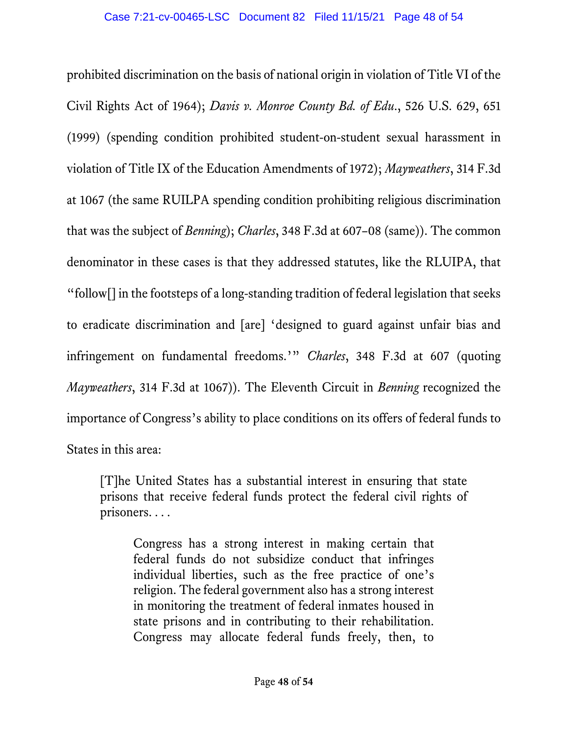prohibited discrimination on the basis of national origin in violation of Title VI of the Civil Rights Act of 1964); *Davis v. Monroe County Bd. of Edu*., 526 U.S. 629, 651 (1999) (spending condition prohibited student-on-student sexual harassment in violation of Title IX of the Education Amendments of 1972); *Mayweathers*, 314 F.3d at 1067 (the same RUILPA spending condition prohibiting religious discrimination that was the subject of *Benning*); *Charles*, 348 F.3d at 607–08 (same)). The common denominator in these cases is that they addressed statutes, like the RLUIPA, that "follow[] in the footsteps of a long-standing tradition of federal legislation that seeks to eradicate discrimination and [are] 'designed to guard against unfair bias and infringement on fundamental freedoms.'" *Charles*, 348 F.3d at 607 (quoting *Mayweathers*, 314 F.3d at 1067)). The Eleventh Circuit in *Benning* recognized the importance of Congress's ability to place conditions on its offers of federal funds to States in this area:

[T]he United States has a substantial interest in ensuring that state prisons that receive federal funds protect the federal civil rights of prisoners. . . .

Congress has a strong interest in making certain that federal funds do not subsidize conduct that infringes individual liberties, such as the free practice of one's religion. The federal government also has a strong interest in monitoring the treatment of federal inmates housed in state prisons and in contributing to their rehabilitation. Congress may allocate federal funds freely, then, to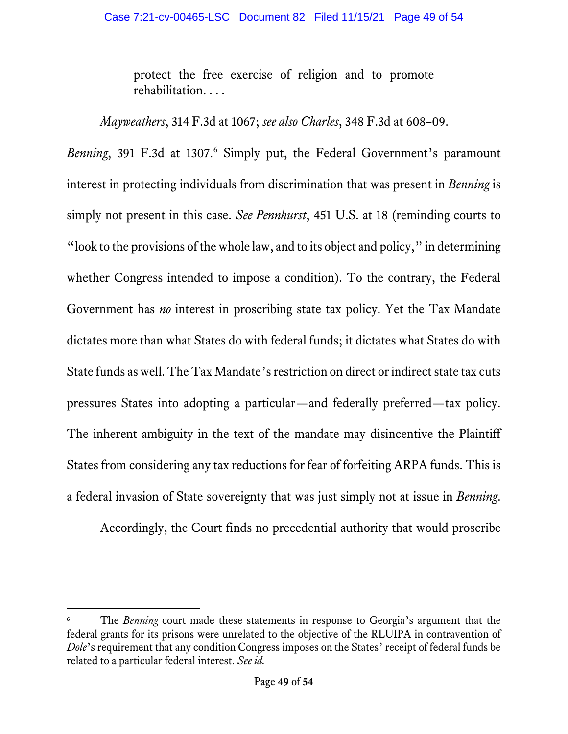protect the free exercise of religion and to promote rehabilitation. . . .

*Mayweathers*, 314 F.3d at 1067; *see also Charles*, 348 F.3d at 608–09.

*Benning*, 391 F.3d at 1307.<sup>[6](#page-48-0)</sup> Simply put, the Federal Government's paramount interest in protecting individuals from discrimination that was present in *Benning* is simply not present in this case. *See Pennhurst*, 451 U.S. at 18 (reminding courts to "look to the provisions of the whole law, and to its object and policy," in determining whether Congress intended to impose a condition). To the contrary, the Federal Government has *no* interest in proscribing state tax policy. Yet the Tax Mandate dictates more than what States do with federal funds; it dictates what States do with State funds as well. The Tax Mandate's restriction on direct or indirect state tax cuts pressures States into adopting a particular—and federally preferred—tax policy. The inherent ambiguity in the text of the mandate may disincentive the Plaintiff States from considering any tax reductions for fear of forfeiting ARPA funds. This is a federal invasion of State sovereignty that was just simply not at issue in *Benning*.

Accordingly, the Court finds no precedential authority that would proscribe

<span id="page-48-0"></span>The *Benning* court made these statements in response to Georgia's argument that the federal grants for its prisons were unrelated to the objective of the RLUIPA in contravention of *Dole*'s requirement that any condition Congress imposes on the States' receipt of federal funds be related to a particular federal interest. *See id.*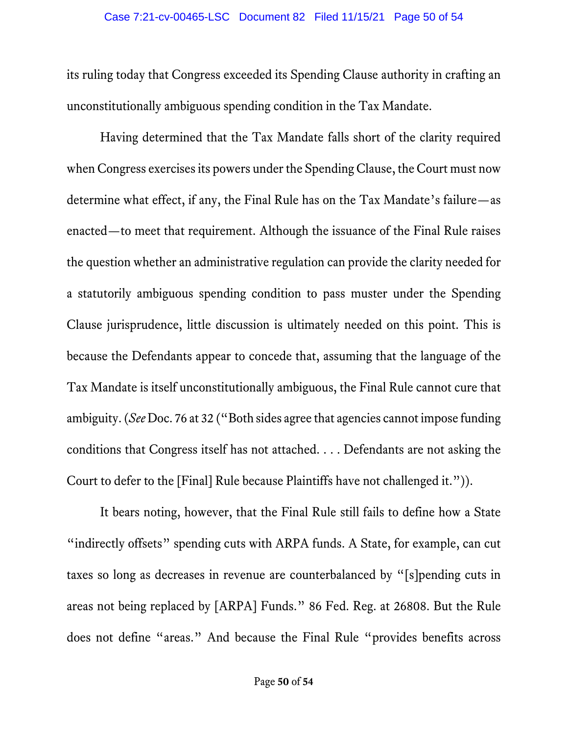its ruling today that Congress exceeded its Spending Clause authority in crafting an unconstitutionally ambiguous spending condition in the Tax Mandate.

Having determined that the Tax Mandate falls short of the clarity required when Congress exercises its powers under the Spending Clause, the Court must now determine what effect, if any, the Final Rule has on the Tax Mandate's failure—as enacted—to meet that requirement. Although the issuance of the Final Rule raises the question whether an administrative regulation can provide the clarity needed for a statutorily ambiguous spending condition to pass muster under the Spending Clause jurisprudence, little discussion is ultimately needed on this point. This is because the Defendants appear to concede that, assuming that the language of the Tax Mandate is itself unconstitutionally ambiguous, the Final Rule cannot cure that ambiguity. (*See* Doc. 76 at 32 ("Both sides agree that agencies cannot impose funding conditions that Congress itself has not attached. . . . Defendants are not asking the Court to defer to the [Final] Rule because Plaintiffs have not challenged it.")).

It bears noting, however, that the Final Rule still fails to define how a State "indirectly offsets" spending cuts with ARPA funds. A State, for example, can cut taxes so long as decreases in revenue are counterbalanced by "[s]pending cuts in areas not being replaced by [ARPA] Funds." 86 Fed. Reg. at 26808. But the Rule does not define "areas." And because the Final Rule "provides benefits across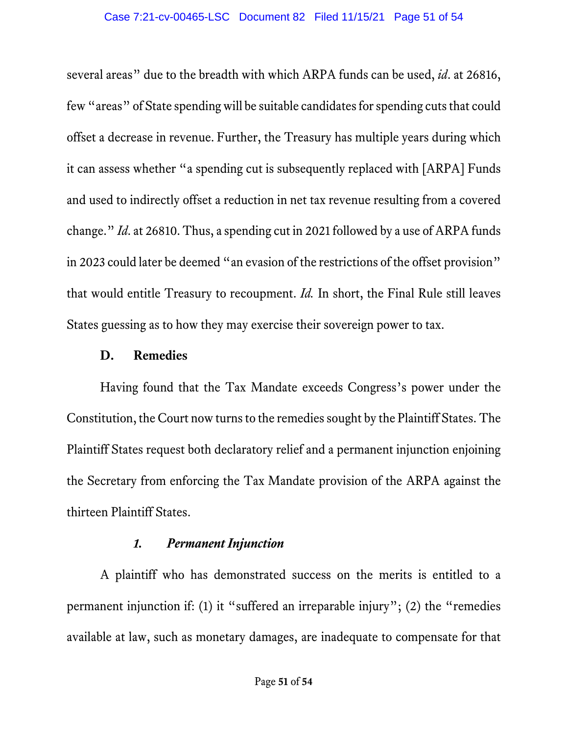several areas" due to the breadth with which ARPA funds can be used, *id*. at 26816, few "areas" of State spending will be suitable candidates for spending cuts that could offset a decrease in revenue. Further, the Treasury has multiple years during which it can assess whether "a spending cut is subsequently replaced with [ARPA] Funds and used to indirectly offset a reduction in net tax revenue resulting from a covered change." *Id*. at 26810. Thus, a spending cut in 2021 followed by a use of ARPA funds in 2023 could later be deemed "an evasion of the restrictions of the offset provision" that would entitle Treasury to recoupment. *Id.* In short, the Final Rule still leaves States guessing as to how they may exercise their sovereign power to tax.

### **D. Remedies**

Having found that the Tax Mandate exceeds Congress's power under the Constitution, the Court now turns to the remedies sought by the Plaintiff States. The Plaintiff States request both declaratory relief and a permanent injunction enjoining the Secretary from enforcing the Tax Mandate provision of the ARPA against the thirteen Plaintiff States.

### *1. Permanent Injunction*

A plaintiff who has demonstrated success on the merits is entitled to a permanent injunction if: (1) it "suffered an irreparable injury"; (2) the "remedies available at law, such as monetary damages, are inadequate to compensate for that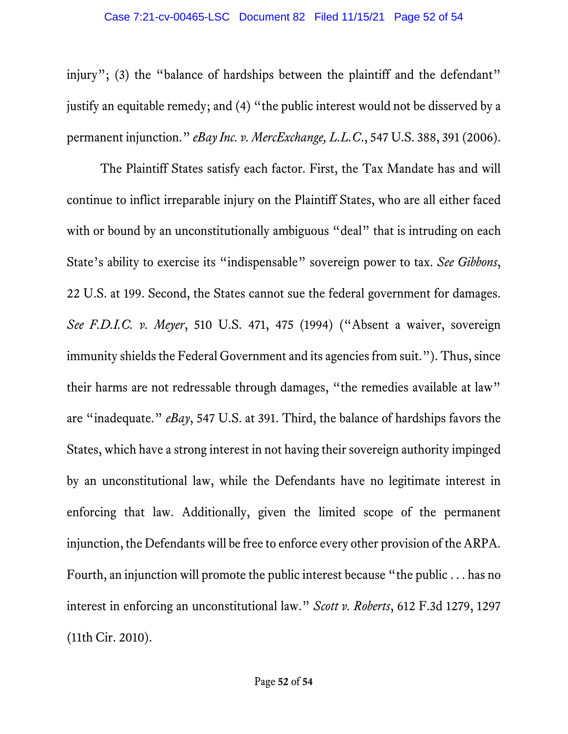injury"; (3) the "balance of hardships between the plaintiff and the defendant" justify an equitable remedy; and (4) "the public interest would not be disserved by a permanent injunction." *eBay Inc. v. MercExchange, L.L.C*., 547 U.S. 388, 391 (2006).

The Plaintiff States satisfy each factor. First, the Tax Mandate has and will continue to inflict irreparable injury on the Plaintiff States, who are all either faced with or bound by an unconstitutionally ambiguous "deal" that is intruding on each State's ability to exercise its "indispensable" sovereign power to tax. *See Gibbons*, 22 U.S. at 199. Second, the States cannot sue the federal government for damages. *See F.D.I.C. v. Meyer*, 510 U.S. 471, 475 (1994) ("Absent a waiver, sovereign immunity shields the Federal Government and its agencies from suit."). Thus, since their harms are not redressable through damages, "the remedies available at law" are "inadequate." *eBay*, 547 U.S. at 391. Third, the balance of hardships favors the States, which have a strong interest in not having their sovereign authority impinged by an unconstitutional law, while the Defendants have no legitimate interest in enforcing that law. Additionally, given the limited scope of the permanent injunction, the Defendants will be free to enforce every other provision of the ARPA. Fourth, an injunction will promote the public interest because "the public . . . has no interest in enforcing an unconstitutional law." *Scott v. Roberts*, 612 F.3d 1279, 1297 (11th Cir. 2010).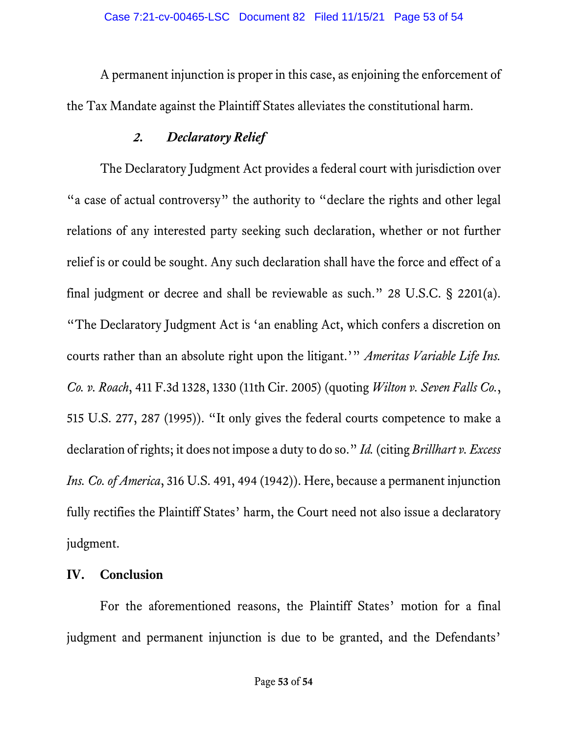A permanent injunction is proper in this case, as enjoining the enforcement of the Tax Mandate against the Plaintiff States alleviates the constitutional harm.

## *2. Declaratory Relief*

The Declaratory Judgment Act provides a federal court with jurisdiction over "a case of actual controversy" the authority to "declare the rights and other legal relations of any interested party seeking such declaration, whether or not further relief is or could be sought. Any such declaration shall have the force and effect of a final judgment or decree and shall be reviewable as such." 28 U.S.C. § 2201(a). "The Declaratory Judgment Act is 'an enabling Act, which confers a discretion on courts rather than an absolute right upon the litigant.'" *Ameritas Variable Life Ins. Co. v. Roach*, 411 F.3d 1328, 1330 (11th Cir. 2005) (quoting *Wilton v. Seven Falls Co.*, 515 U.S. 277, 287 (1995)). "It only gives the federal courts competence to make a declaration of rights; it does not impose a duty to do so." *Id.* (citing *Brillhart v. Excess Ins. Co. of America*, 316 U.S. 491, 494 (1942)). Here, because a permanent injunction fully rectifies the Plaintiff States' harm, the Court need not also issue a declaratory judgment.

## **IV. Conclusion**

For the aforementioned reasons, the Plaintiff States' motion for a final judgment and permanent injunction is due to be granted, and the Defendants'